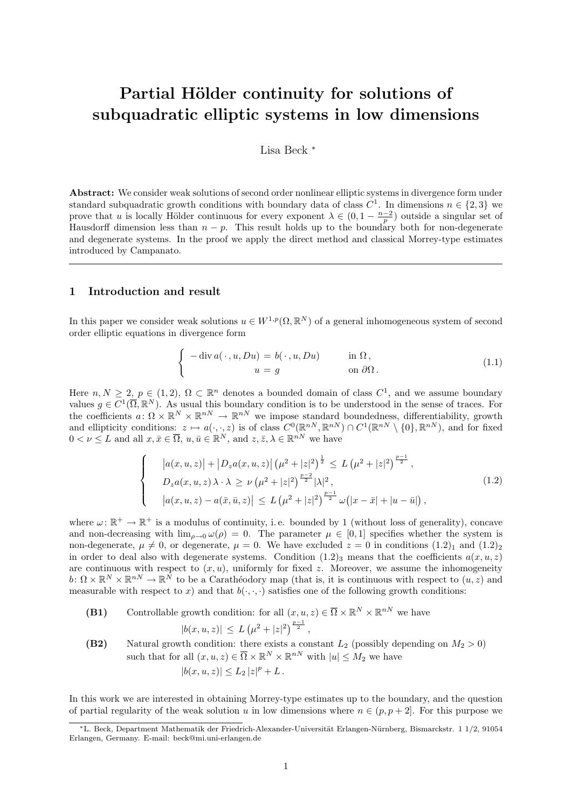# Partial Hölder continuity for solutions of subquadratic elliptic systems in low dimensions

Lisa Beck <sup>∗</sup>

Abstract: We consider weak solutions of second order nonlinear elliptic systems in divergence form under standard subquadratic growth conditions with boundary data of class  $C^1$ . In dimensions  $n \in \{2,3\}$  we prove that u is locally Hölder continuous for every exponent  $\lambda \in (0, 1 - \frac{n-2}{p})$  outside a singular set of Hausdorff dimension less than  $n - p$ . This result holds up to the boundary both for non-degenerate and degenerate systems. In the proof we apply the direct method and classical Morrey-type estimates introduced by Campanato.

## 1 Introduction and result

In this paper we consider weak solutions  $u \in W^{1,p}(\Omega,\mathbb{R}^N)$  of a general inhomogeneous system of second order elliptic equations in divergence form

$$
\begin{cases}\n-\operatorname{div} a(\cdot, u, Du) = b(\cdot, u, Du) & \text{in } \Omega, \\
u = g & \text{on } \partial\Omega.\n\end{cases}
$$
\n(1.1)

Here  $n, N \geq 2$ ,  $p \in (1, 2)$ ,  $\Omega \subset \mathbb{R}^n$  denotes a bounded domain of class  $C^1$ , and we assume boundary values  $g \in C^1(\overline{\Omega}, \mathbb{R}^N)$ . As usual this boundary condition is to be understood in the sense of traces. For the coefficients  $a: \Omega \times \mathbb{R}^N \times \mathbb{R}^{nN} \to \mathbb{R}^{nN}$  we impose standard boundedness, differentiability, growth and ellipticity conditions:  $z \mapsto a(\cdot, \cdot, z)$  is of class  $C^0(\mathbb{R}^{nN}, \mathbb{R}^{nN}) \cap C^1(\mathbb{R}^{nN} \setminus \{0\}, \mathbb{R}^{nN})$ , and for fixed  $0 < \nu \leq L$  and all  $x, \bar{x} \in \overline{\Omega}$ ,  $u, \bar{u} \in \mathbb{R}^N$ , and  $z, \bar{z}, \lambda \in \mathbb{R}^{nN}$  we have

$$
\begin{cases}\n\left|a(x,u,z)\right| + \left|D_z a(x,u,z)\right| \left(\mu^2 + |z|^2\right)^{\frac{1}{2}} \le L\left(\mu^2 + |z|^2\right)^{\frac{p-1}{2}}, \\
D_z a(x,u,z) \lambda \cdot \lambda \ge \nu\left(\mu^2 + |z|^2\right)^{\frac{p-2}{2}} |\lambda|^2, \\
\left|a(x,u,z) - a(\bar{x},\bar{u},z)\right| \le L\left(\mu^2 + |z|^2\right)^{\frac{p-1}{2}} \omega\left(|x-\bar{x}|+|u-\bar{u}|\right),\n\end{cases}
$$
\n(1.2)

where  $\omega: \mathbb{R}^+ \to \mathbb{R}^+$  is a modulus of continuity, i.e. bounded by 1 (without loss of generality), concave and non-decreasing with  $\lim_{\rho\to 0} \omega(\rho) = 0$ . The parameter  $\mu \in [0,1]$  specifies whether the system is non-degenerate,  $\mu \neq 0$ , or degenerate,  $\mu = 0$ . We have excluded  $z = 0$  in conditions  $(1.2)_1$  and  $(1.2)_2$ in order to deal also with degenerate systems. Condition  $(1.2)$ <sub>3</sub> means that the coefficients  $a(x, u, z)$ are continuous with respect to  $(x, u)$ , uniformly for fixed z. Moreover, we assume the inhomogeneity  $b: \Omega \times \mathbb{R}^N \times \mathbb{R}^{nN} \to \mathbb{R}^N$  to be a Caratheodory map (that is, it is continuous with respect to  $(u, z)$  and measurable with respect to x) and that  $b(\cdot, \cdot, \cdot)$  satisfies one of the following growth conditions:

- (B1) Controllable growth condition: for all  $(x, u, z) \in \overline{\Omega} \times \mathbb{R}^N \times \mathbb{R}^{nN}$  we have  $|b(x, u, z)| \le L \left(\mu^2 + |z|^2\right)^{\frac{p-1}{2}},$ (B2) Natural growth condition: there exists a constant  $L_2$  (possibly depending on  $M_2 > 0$ )
- such that for all  $(x, u, z) \in \overline{\Omega} \times \mathbb{R}^N \times \mathbb{R}^{nN}$  with  $|u| \leq M_2$  we have  $|b(x, u, z)| \leq L_2 |z|^p + L$ .

In this work we are interested in obtaining Morrey-type estimates up to the boundary, and the question of partial regularity of the weak solution u in low dimensions where  $n \in (p, p + 2]$ . For this purpose we

<sup>\*</sup>L. Beck, Department Mathematik der Friedrich-Alexander-Universität Erlangen-Nürnberg, Bismarckstr. 1 1/2, 91054 Erlangen, Germany. E-mail: beck@mi.uni-erlangen.de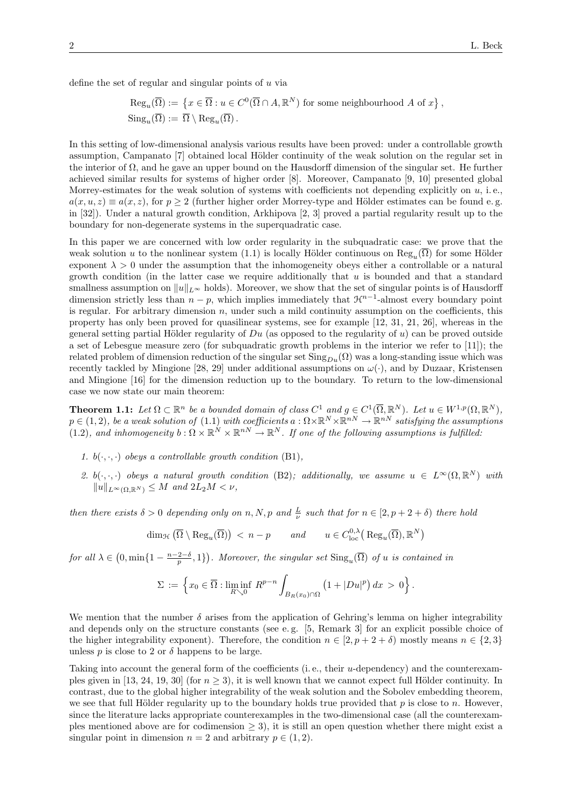define the set of regular and singular points of  $u$  via

$$
\operatorname{Reg}_u(\overline{\Omega}) := \{ x \in \overline{\Omega} : u \in C^0(\overline{\Omega} \cap A, \mathbb{R}^N) \text{ for some neighbourhood } A \text{ of } x \},
$$
  

$$
\operatorname{Sing}_u(\overline{\Omega}) := \overline{\Omega} \setminus \operatorname{Reg}_u(\overline{\Omega}).
$$

In this setting of low-dimensional analysis various results have been proved: under a controllable growth assumption, Campanato [7] obtained local Hölder continuity of the weak solution on the regular set in the interior of  $\Omega$ , and he gave an upper bound on the Hausdorff dimension of the singular set. He further achieved similar results for systems of higher order [8]. Moreover, Campanato [9, 10] presented global Morrey-estimates for the weak solution of systems with coefficients not depending explicitly on  $u$ , i.e.,  $a(x, u, z) \equiv a(x, z)$ , for  $p \ge 2$  (further higher order Morrey-type and Hölder estimates can be found e.g. in [32]). Under a natural growth condition, Arkhipova [2, 3] proved a partial regularity result up to the boundary for non-degenerate systems in the superquadratic case.

In this paper we are concerned with low order regularity in the subquadratic case: we prove that the weak solution u to the nonlinear system (1.1) is locally Hölder continuous on  $\text{Reg}_u(\Omega)$  for some Hölder exponent  $\lambda > 0$  under the assumption that the inhomogeneity obeys either a controllable or a natural growth condition (in the latter case we require additionally that  $u$  is bounded and that a standard smallness assumption on  $||u||_{L^{\infty}}$  holds). Moreover, we show that the set of singular points is of Hausdorff dimension strictly less than  $n - p$ , which implies immediately that  $\mathcal{H}^{n-1}$ -almost every boundary point is regular. For arbitrary dimension  $n$ , under such a mild continuity assumption on the coefficients, this property has only been proved for quasilinear systems, see for example [12, 31, 21, 26], whereas in the general setting partial Hölder regularity of  $Du$  (as opposed to the regularity of u) can be proved outside a set of Lebesgue measure zero (for subquadratic growth problems in the interior we refer to [11]); the related problem of dimension reduction of the singular set  $\text{Sing}_{Du}(\Omega)$  was a long-standing issue which was recently tackled by Mingione [28, 29] under additional assumptions on  $\omega(\cdot)$ , and by Duzaar, Kristensen and Mingione [16] for the dimension reduction up to the boundary. To return to the low-dimensional case we now state our main theorem:

**Theorem 1.1:** Let  $\Omega \subset \mathbb{R}^n$  be a bounded domain of class  $C^1$  and  $g \in C^1(\overline{\Omega}, \mathbb{R}^N)$ . Let  $u \in W^{1,p}(\Omega, \mathbb{R}^N)$ ,  $p \in (1, 2)$ , be a weak solution of  $(1.1)$  with coefficients  $a: \Omega \times \mathbb{R}^N \times \mathbb{R}^{nN} \to \mathbb{R}^{nN}$  satisfying the assumptions (1.2), and inhomogeneity  $b: \Omega \times \mathbb{R}^N \times \mathbb{R}^{nN} \to \mathbb{R}^N$ . If one of the following assumptions is fulfilled:

- 1.  $b(\cdot, \cdot, \cdot)$  obeys a controllable growth condition (B1),
- 2. b(.,.,.) obeys a natural growth condition (B2); additionally, we assume  $u \in L^{\infty}(\Omega, \mathbb{R}^N)$  with  $||u||_{L^{\infty}(\Omega,\mathbb{R}^N)} \leq M$  and  $2L_2M < \nu$ ,

then there exists  $\delta > 0$  depending only on n, N, p and  $\frac{L}{\nu}$  such that for  $n \in [2, p + 2 + \delta)$  there hold

$$
\dim_{\mathcal{H}}\left(\overline{\Omega}\setminus\operatorname{Reg}_u(\overline{\Omega})\right) < n-p \qquad \text{and} \qquad u \in C^{0,\lambda}_{\operatorname{loc}}\left(\operatorname{Reg}_u(\overline{\Omega}), \mathbb{R}^N\right)
$$

for all  $\lambda \in (0, \min\{1 - \frac{n-2-\delta}{p}, 1\})$ . Moreover, the singular set  $\text{Sing}_u(\overline{\Omega})$  of u is contained in

$$
\Sigma := \left\{ x_0 \in \overline{\Omega} : \liminf_{R \searrow 0} R^{p-n} \int_{B_R(x_0) \cap \Omega} \left( 1 + |Du|^p \right) dx > 0 \right\}.
$$

We mention that the number  $\delta$  arises from the application of Gehring's lemma on higher integrability and depends only on the structure constants (see e.g. [5, Remark 3] for an explicit possible choice of the higher integrability exponent). Therefore, the condition  $n \in [2, p + 2 + \delta)$  mostly means  $n \in \{2, 3\}$ unless p is close to 2 or  $\delta$  happens to be large.

Taking into account the general form of the coefficients (i. e., their u-dependency) and the counterexamples given in [13, 24, 19, 30] (for  $n \geq 3$ ), it is well known that we cannot expect full Hölder continuity. In contrast, due to the global higher integrability of the weak solution and the Sobolev embedding theorem, we see that full Hölder regularity up to the boundary holds true provided that  $p$  is close to n. However, since the literature lacks appropriate counterexamples in the two-dimensional case (all the counterexamples mentioned above are for codimension  $\geq$  3), it is still an open question whether there might exist a singular point in dimension  $n = 2$  and arbitrary  $p \in (1, 2)$ .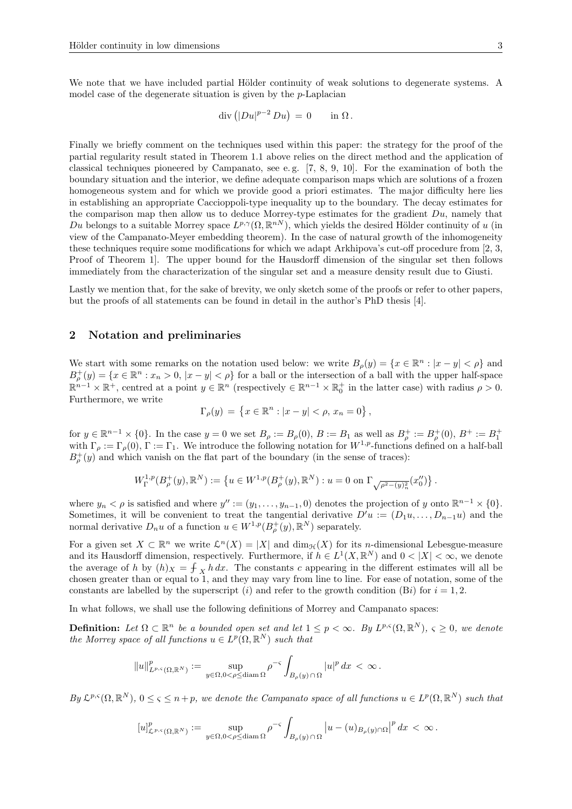We note that we have included partial Hölder continuity of weak solutions to degenerate systems. A model case of the degenerate situation is given by the p-Laplacian

$$
\operatorname{div} \left( |Du|^{p-2} Du \right) = 0 \quad \text{in } \Omega.
$$

Finally we briefly comment on the techniques used within this paper: the strategy for the proof of the partial regularity result stated in Theorem 1.1 above relies on the direct method and the application of classical techniques pioneered by Campanato, see e.g.  $[7, 8, 9, 10]$ . For the examination of both the boundary situation and the interior, we define adequate comparison maps which are solutions of a frozen homogeneous system and for which we provide good a priori estimates. The major difficulty here lies in establishing an appropriate Caccioppoli-type inequality up to the boundary. The decay estimates for the comparison map then allow us to deduce Morrey-type estimates for the gradient  $Du$ , namely that Du belongs to a suitable Morrey space  $L^{p,\gamma}(\Omega,\mathbb{R}^{nN})$ , which yields the desired Hölder continuity of u (in view of the Campanato-Meyer embedding theorem). In the case of natural growth of the inhomogeneity these techniques require some modifications for which we adapt Arkhipova's cut-off procedure from [2, 3, Proof of Theorem 1]. The upper bound for the Hausdorff dimension of the singular set then follows immediately from the characterization of the singular set and a measure density result due to Giusti.

Lastly we mention that, for the sake of brevity, we only sketch some of the proofs or refer to other papers, but the proofs of all statements can be found in detail in the author's PhD thesis [4].

## 2 Notation and preliminaries

We start with some remarks on the notation used below: we write  $B_{\rho}(y) = \{x \in \mathbb{R}^n : |x - y| < \rho\}$  and  $B_{\rho}^+(y) = \{x \in \mathbb{R}^n : x_n > 0, |x - y| < \rho\}$  for a ball or the intersection of a ball with the upper half-space  $\mathbb{R}^{n-1}\times\mathbb{R}^+$ , centred at a point  $y\in\mathbb{R}^n$  (respectively  $\in\mathbb{R}^{n-1}\times\mathbb{R}^+_0$  in the latter case) with radius  $\rho>0$ . Furthermore, we write

$$
\Gamma_{\rho}(y) = \{ x \in \mathbb{R}^n : |x - y| < \rho, \, x_n = 0 \},
$$

for  $y \in \mathbb{R}^{n-1} \times \{0\}$ . In the case  $y = 0$  we set  $B_{\rho} := B_{\rho}(0), B := B_1$  as well as  $B_{\rho}^+ := B_{\rho}^+(0), B^+ := B_1^+$ with  $\Gamma_{\rho} := \Gamma_{\rho}(0)$ ,  $\Gamma := \Gamma_1$ . We introduce the following notation for  $W^{1,p}$ -functions defined on a half-ball  $B_{\rho}^+(y)$  and which vanish on the flat part of the boundary (in the sense of traces):

$$
W^{1,p}_{\Gamma}(B^+_{\rho}(y), \mathbb{R}^N) := \left\{ u \in W^{1,p}(B^+_{\rho}(y), \mathbb{R}^N) : u = 0 \text{ on } \Gamma_{\sqrt{\rho^2 - (y)_n^2}}(x_0'') \right\}.
$$

where  $y_n < \rho$  is satisfied and where  $y'' := (y_1, \ldots, y_{n-1}, 0)$  denotes the projection of y onto  $\mathbb{R}^{n-1} \times \{0\}$ . Sometimes, it will be convenient to treat the tangential derivative  $D'u := (D_1u, \ldots, D_{n-1}u)$  and the normal derivative  $D_n u$  of a function  $u \in W^{1,p}(B_\rho^+(y), \mathbb{R}^N)$  separately.

For a given set  $X \subset \mathbb{R}^n$  we write  $\mathcal{L}^n(X) = |X|$  and  $\dim_{\mathcal{H}}(X)$  for its *n*-dimensional Lebesgue-measure and its Hausdorff dimension, respectively. Furthermore, if  $h \in L^1(X, \mathbb{R}^N)$  and  $0 < |X| < \infty$ , we denote the average of h by  $(h)_X = \int_X h \, dx$ . The constants c appearing in the different estimates will all be chosen greater than or equal to 1, and they may vary from line to line. For ease of notation, some of the constants are labelled by the superscript (i) and refer to the growth condition (Bi) for  $i = 1, 2$ .

In what follows, we shall use the following definitions of Morrey and Campanato spaces:

**Definition:** Let  $\Omega \subset \mathbb{R}^n$  be a bounded open set and let  $1 \leq p < \infty$ . By  $L^{p,\varsigma}(\Omega,\mathbb{R}^N)$ ,  $\varsigma \geq 0$ , we denote the Morrey space of all functions  $u \in L^p(\Omega,\mathbb{R}^N)$  such that

$$
\|u\|_{L^{p,\varsigma}(\Omega,\mathbb{R}^N)}^p:=\sup_{y\in \Omega, 0<\rho\leq \text{diam}\,\Omega}\rho^{-\varsigma}\int_{B_\rho(y)\,\cap\,\Omega}|u|^p\,dx\,<\,\infty\,.
$$

By  $\mathcal{L}^{p,\varsigma}(\Omega,\mathbb{R}^N)$ ,  $0 \leq \varsigma \leq n+p$ , we denote the Campanato space of all functions  $u \in L^p(\Omega,\mathbb{R}^N)$  such that

$$
[u]_{\mathcal{L}^{p,\varsigma}(\Omega,\mathbb{R}^N)}^p:=\sup_{y\in\Omega,0<\rho\leq\text{diam }\Omega}\rho^{-\varsigma}\int_{B_\rho(y)\cap\Omega}\left|u-(u)_{B_\rho(y)\cap\Omega}\right|^pdx<\infty.
$$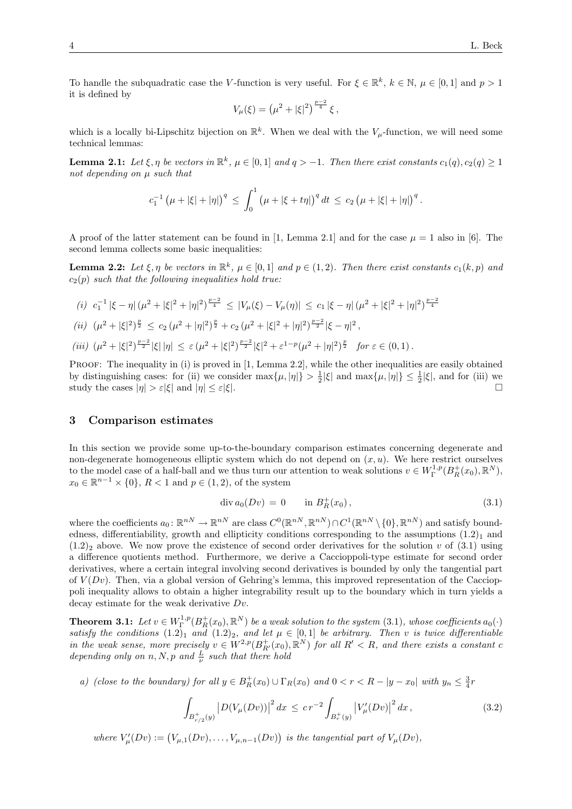To handle the subquadratic case the V-function is very useful. For  $\xi \in \mathbb{R}^k$ ,  $k \in \mathbb{N}$ ,  $\mu \in [0,1]$  and  $p > 1$ it is defined by

$$
V_{\mu}(\xi) = \left(\mu^2 + |\xi|^2\right)^{\frac{p-2}{4}} \xi,
$$

which is a locally bi-Lipschitz bijection on  $\mathbb{R}^k$ . When we deal with the  $V_\mu$ -function, we will need some technical lemmas:

**Lemma 2.1:** Let  $\xi, \eta$  be vectors in  $\mathbb{R}^k$ ,  $\mu \in [0,1]$  and  $q > -1$ . Then there exist constants  $c_1(q), c_2(q) \geq 1$ not depending on  $\mu$  such that

$$
c_1^{-1} (\mu + |\xi| + |\eta|)^q \le \int_0^1 (\mu + |\xi + t\eta|)^q dt \le c_2 (\mu + |\xi| + |\eta|)^q.
$$

A proof of the latter statement can be found in [1, Lemma 2.1] and for the case  $\mu = 1$  also in [6]. The second lemma collects some basic inequalities:

**Lemma 2.2:** Let  $\xi, \eta$  be vectors in  $\mathbb{R}^k$ ,  $\mu \in [0,1]$  and  $p \in (1,2)$ . Then there exist constants  $c_1(k, p)$  and  $c_2(p)$  such that the following inequalities hold true:

(i) 
$$
c_1^{-1} |\xi - \eta| (\mu^2 + |\xi|^2 + |\eta|^2)^{\frac{p-2}{4}} \le |V_\mu(\xi) - V_\mu(\eta)| \le c_1 |\xi - \eta| (\mu^2 + |\xi|^2 + |\eta|^2)^{\frac{p-2}{4}}
$$
  
\n(ii)  $(\mu^2 + |\xi|^2)^{\frac{p}{2}} \le c_2 (\mu^2 + |\eta|^2)^{\frac{p}{2}} + c_2 (\mu^2 + |\xi|^2 + |\eta|^2)^{\frac{p-2}{2}} |\xi - \eta|^2$ ,  
\n(iii)  $(\mu^2 + |\xi|^2)^{\frac{p-2}{2}} |\xi| |\eta| \le \varepsilon (\mu^2 + |\xi|^2)^{\frac{p-2}{2}} |\xi|^2 + \varepsilon^{1-p} (\mu^2 + |\eta|^2)^{\frac{p}{2}}$  for  $\varepsilon \in (0, 1)$ .

PROOF: The inequality in (i) is proved in [1, Lemma 2.2], while the other inequalities are easily obtained by distinguishing cases: for (ii) we consider  $\max\{\mu, |\eta|\} > \frac{1}{2} |\xi|$  and  $\max\{\mu, |\eta|\} \le \frac{1}{2} |\xi|$ , and for (iii) we study the cases  $|\eta| > \varepsilon |\xi|$  and  $|\eta| < \varepsilon |\xi|$ .

## 3 Comparison estimates

In this section we provide some up-to-the-boundary comparison estimates concerning degenerate and non-degenerate homogeneous elliptic system which do not depend on  $(x, u)$ . We here restrict ourselves to the model case of a half-ball and we thus turn our attention to weak solutions  $v \in W^{1,p}_\Gamma(B^+_R(x_0), \mathbb{R}^N)$ ,  $x_0 \in \mathbb{R}^{n-1} \times \{0\}, R < 1$  and  $p \in (1, 2)$ , of the system

$$
\operatorname{div} a_0(Dv) = 0 \qquad \text{in } B_R^+(x_0), \tag{3.1}
$$

where the coefficients  $a_0 \colon \mathbb{R}^{nN} \to \mathbb{R}^{nN}$  are class  $C^0(\mathbb{R}^{nN}, \mathbb{R}^{nN}) \cap C^1(\mathbb{R}^{nN} \setminus \{0\}, \mathbb{R}^{nN})$  and satisfy boundedness, differentiability, growth and ellipticity conditions corresponding to the assumptions  $(1.2)<sub>1</sub>$  and  $(1.2)_2$  above. We now prove the existence of second order derivatives for the solution v of  $(3.1)$  using a difference quotients method. Furthermore, we derive a Caccioppoli-type estimate for second order derivatives, where a certain integral involving second derivatives is bounded by only the tangential part of  $V(Dv)$ . Then, via a global version of Gehring's lemma, this improved representation of the Caccioppoli inequality allows to obtain a higher integrability result up to the boundary which in turn yields a decay estimate for the weak derivative Dv.

**Theorem 3.1:** Let  $v \in W^{1,p}_\Gamma(B^+_R(x_0), \mathbb{R}^N)$  be a weak solution to the system  $(3.1)$ , whose coefficients  $a_0(\cdot)$ **Theorem 3.1:** Let  $v \in W_{\Gamma}$  ( $D_R(x_0), \mathbb{R}$ ) be a weak solution to the system (3.1), whose coefficients  $u_0(\cdot)$  satisfy the conditions (1.2)<sub>1</sub> and (1.2)<sub>2</sub>, and let  $\mu \in [0,1]$  be arbitrary. Then v is twice differenti in the weak sense, more precisely  $v oldsymbol{\in} W^{2,p}(B^+_{R'}(x_0), \mathbb{R}^N)$  for all  $R' < R$ , and there exists a constant c depending only on n, N, p and  $\frac{L}{\nu}$  such that there hold

a) (close to the boundary) for all  $y \in B_R^+(x_0) \cup \Gamma_R(x_0)$  and  $0 < r < R - |y - x_0|$  with  $y_n \leq \frac{3}{4}r$ 

$$
\int_{B_{r/2}^+(y)} \left| D(V_\mu(Dv)) \right|^2 dx \leq c \, r^{-2} \int_{B_r^+(y)} \left| V'_\mu(Dv) \right|^2 dx \,, \tag{3.2}
$$

where  $V'_{\mu}(Dv) := (V_{\mu,1}(Dv), \ldots, V_{\mu,n-1}(Dv))$  is the tangential part of  $V_{\mu}(Dv)$ ,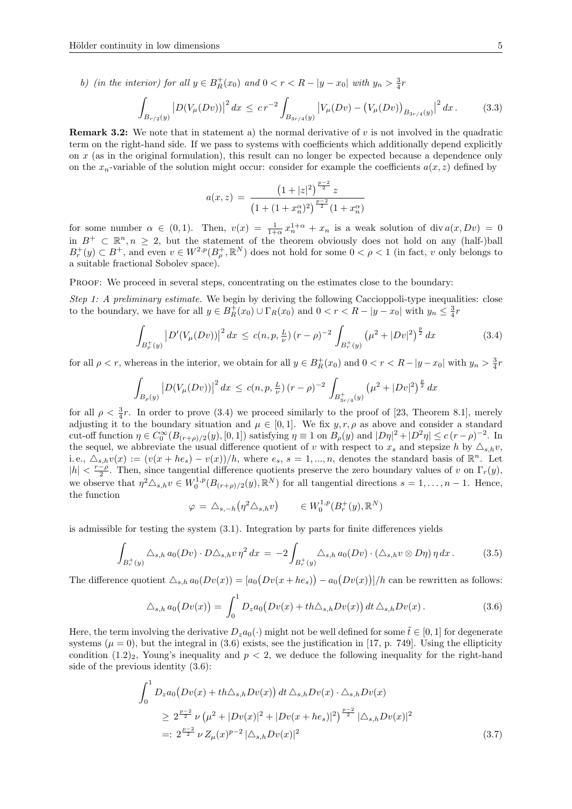b) (in the interior) for all  $y \in B_R^+(x_0)$  and  $0 < r < R - |y - x_0|$  with  $y_n > \frac{3}{4}r$ 

$$
\int_{B_{r/2}(y)} \left| D(V_{\mu}(Dv)) \right|^2 dx \leq c r^{-2} \int_{B_{3r/4}(y)} \left| V_{\mu}(Dv) - \left( V_{\mu}(Dv) \right)_{B_{3r/4}(y)} \right|^2 dx. \tag{3.3}
$$

**Remark 3.2:** We note that in statement a) the normal derivative of  $v$  is not involved in the quadratic term on the right-hand side. If we pass to systems with coefficients which additionally depend explicitly on x (as in the original formulation), this result can no longer be expected because a dependence only on the  $x_n$ -variable of the solution might occur: consider for example the coefficients  $a(x, z)$  defined by

$$
a(x, z) = \frac{\left(1+|z|^2\right)^{\frac{p-2}{2}}z}{\left(1+(1+x_n^{\alpha})^2\right)^{\frac{p-2}{2}}(1+x_n^{\alpha})}
$$

for some number  $\alpha \in (0,1)$ . Then,  $v(x) = \frac{1}{1+\alpha} x_n^{1+\alpha} + x_n$  is a weak solution of div  $a(x, Dv) = 0$ in  $B^+ \subset \mathbb{R}^n, n \geq 2$ , but the statement of the theorem obviously does not hold on any (half-)ball  $B_r^+(y) \subset B^+$ , and even  $v \in W^{2,p}(B_\rho^+, \mathbb{R}^N)$  does not hold for some  $0 < \rho < 1$  (in fact, v only belongs to a suitable fractional Sobolev space).

PROOF: We proceed in several steps, concentrating on the estimates close to the boundary:

Step 1: A preliminary estimate. We begin by deriving the following Caccioppoli-type inequalities: close to the boundary, we have for all  $y \in B_R^+(x_0) \cup \Gamma_R(x_0)$  and  $0 < r < R - |y - x_0|$  with  $y_n \leq \frac{3}{4}r$ 

$$
\int_{B_{\rho}^+(y)} \left| D'(V_{\mu}(Dv)) \right|^2 dx \le c(n, p, \frac{L}{\nu})(r - \rho)^{-2} \int_{B_r^+(y)} \left( \mu^2 + |Dv|^2 \right)^{\frac{p}{2}} dx \tag{3.4}
$$

for all  $\rho < r$ , whereas in the interior, we obtain for all  $y \in B_R^+(x_0)$  and  $0 < r < R-|y-x_0|$  with  $y_n > \frac{3}{4}r$ 

$$
\int_{B_{\rho}(y)} |D(V_{\mu}(Dv))|^2 dx \le c(n, p, \frac{L}{\nu})(r - \rho)^{-2} \int_{B_{3r/4}^+(y)} (\mu^2 + |Dv|^2)^{\frac{p}{2}} dx
$$

for all  $\rho < \frac{3}{4}r$ . In order to prove (3.4) we proceed similarly to the proof of [23, Theorem 8.1], merely adjusting it to the boundary situation and  $\mu \in [0,1]$ . We fix  $y, r, \rho$  as above and consider a standard cut-off function  $\eta \in C_0^{\infty}(B_{(r+\rho)/2}(y), [0,1])$  satisfying  $\eta \equiv 1$  on  $B_{\rho}(y)$  and  $|D\eta|^2 + |D^2\eta| \le c(r-\rho)^{-2}$ . In the sequel, we abbreviate the usual difference quotient of v with respect to  $x_s$  and stepsize h by  $\Delta_{s,h}v$ , i.e.,  $\Delta_{s,h}v(x) := (v(x+he_s) - v(x))/h$ , where  $e_s$ ,  $s = 1,...,n$ , denotes the standard basis of  $\mathbb{R}^n$ . Let  $|h| < \frac{r-\rho}{2}$ . Then, since tangential difference quotients preserve the zero boundary values of v on  $\Gamma_r(y)$ , we observe that  $\eta^2 \Delta_{s,h} v \in W_0^{1,p}(B_{(r+\rho)/2}(y), \mathbb{R}^N)$  for all tangential directions  $s = 1, \ldots, n-1$ . Hence, the function

$$
\varphi = \triangle_{s,-h} \left( \eta^2 \triangle_{s,h} v \right) \qquad \in W_0^{1,p}(B_r^+(y), \mathbb{R}^N)
$$

is admissible for testing the system (3.1). Integration by parts for finite differences yields

$$
\int_{B_r^+(y)} \Delta_{s,h} a_0(Dv) \cdot D\Delta_{s,h} v \eta^2 dx = -2 \int_{B_r^+(y)} \Delta_{s,h} a_0(Dv) \cdot (\Delta_{s,h} v \otimes D\eta) \eta dx.
$$
 (3.5)

The difference quotient  $\Delta_{s,h} a_0(Dv(x)) = [a_0(Dv(x+he_s)) - a_0(Dv(x))] / h$  can be rewritten as follows:

$$
\triangle_{s,h} a_0(Dv(x)) = \int_0^1 D_z a_0(Dv(x) + th\triangle_{s,h}Dv(x)) dt \triangle_{s,h} Dv(x).
$$
 (3.6)

Here, the term involving the derivative  $D_z a_0(\cdot)$  might not be well defined for some  $\tilde{t} \in [0,1]$  for degenerate systems ( $\mu = 0$ ), but the integral in (3.6) exists, see the justification in [17, p. 749]. Using the ellipticity condition  $(1.2)_2$ , Young's inequality and  $p < 2$ , we deduce the following inequality for the right-hand side of the previous identity (3.6):

$$
\int_0^1 D_z a_0 \left( Dv(x) + th \Delta_{s,h} Dv(x) \right) dt \, \Delta_{s,h} Dv(x) \cdot \Delta_{s,h} Dv(x)
$$
\n
$$
\geq 2^{\frac{p-2}{2}} \nu \left( \mu^2 + |Dv(x)|^2 + |Dv(x + he_s)|^2 \right)^{\frac{p-2}{2}} |\Delta_{s,h} Dv(x)|^2
$$
\n
$$
=: 2^{\frac{p-2}{2}} \nu Z_\mu(x)^{p-2} |\Delta_{s,h} Dv(x)|^2 \tag{3.7}
$$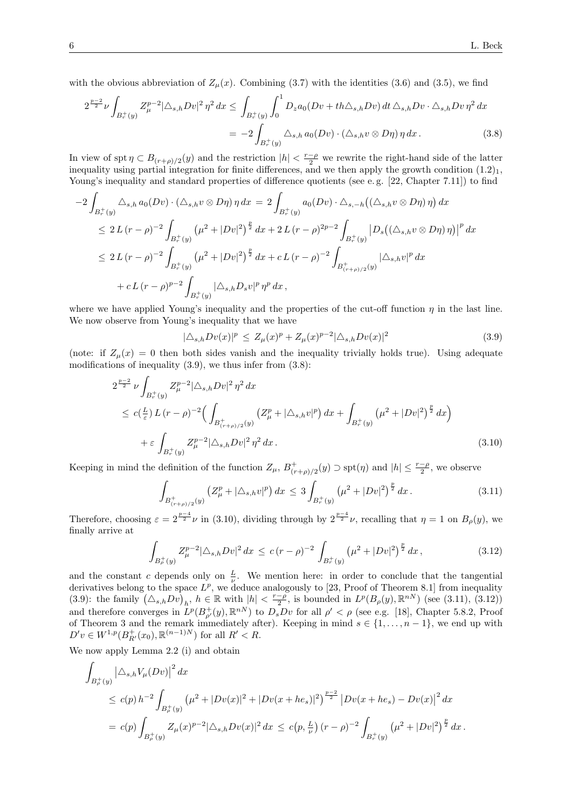with the obvious abbreviation of  $Z_{\mu}(x)$ . Combining (3.7) with the identities (3.6) and (3.5), we find

$$
2^{\frac{p-2}{2}}\nu \int_{B_r^+(y)} Z_\mu^{p-2} |\Delta_{s,h} D v|^2 \eta^2 dx \le \int_{B_r^+(y)} \int_0^1 D_z a_0 (Dv + th\Delta_{s,h} Dv) dt \, \Delta_{s,h} Dv \cdot \Delta_{s,h} Dv \eta^2 dx
$$
  
= 
$$
-2 \int_{B_r^+(y)} \Delta_{s,h} a_0 (Dv) \cdot (\Delta_{s,h} v \otimes D\eta) \eta dx . \tag{3.8}
$$

In view of spt  $\eta \subset B_{(r+\rho)/2}(y)$  and the restriction  $|h| < \frac{r-\rho}{2}$  we rewrite the right-hand side of the latter inequality using partial integration for finite differences, and we then apply the growth condition  $(1.2)_1$ , Young's inequality and standard properties of difference quotients (see e.g. [22, Chapter 7.11]) to find

$$
-2\int_{B_r^+(y)} \Delta_{s,h} a_0(Dv) \cdot (\Delta_{s,h} v \otimes D\eta) \eta \, dx = 2\int_{B_r^+(y)} a_0(Dv) \cdot \Delta_{s,-h} ((\Delta_{s,h} v \otimes D\eta) \eta) \, dx
$$
  
\n
$$
\leq 2L(r-\rho)^{-2} \int_{B_r^+(y)} \left( \mu^2 + |Dv|^2 \right)^{\frac{p}{2}} dx + 2L(r-\rho)^{2p-2} \int_{B_r^+(y)} |D_s((\Delta_{s,h} v \otimes D\eta) \eta)|^p \, dx
$$
  
\n
$$
\leq 2L(r-\rho)^{-2} \int_{B_r^+(y)} \left( \mu^2 + |Dv|^2 \right)^{\frac{p}{2}} dx + cL(r-\rho)^{-2} \int_{B_{(r+\rho)/2}^+(y)} |\Delta_{s,h} v|^p \, dx
$$
  
\n
$$
+ cL(r-\rho)^{p-2} \int_{B_r^+(y)} |\Delta_{s,h} D_s v|^p \, \eta^p \, dx ,
$$

where we have applied Young's inequality and the properties of the cut-off function  $\eta$  in the last line. We now observe from Young's inequality that we have

$$
|\Delta_{s,h}Dv(x)|^p \le Z_{\mu}(x)^p + Z_{\mu}(x)^{p-2} |\Delta_{s,h}Dv(x)|^2
$$
\n(3.9)

(note: if  $Z_{\mu}(x) = 0$  then both sides vanish and the inequality trivially holds true). Using adequate modifications of inequality  $(3.9)$ , we thus infer from  $(3.8)$ :

$$
2^{\frac{p-2}{2}} \nu \int_{B_r^+(y)} Z_\mu^{p-2} |\Delta_{s,h} Dv|^2 \eta^2 dx
$$
  
\n
$$
\leq c(\frac{L}{\varepsilon}) L (r - \rho)^{-2} \Big( \int_{B_{(r+\rho)/2}^+(y)} (Z_\mu^p + |\Delta_{s,h} v|^p) dx + \int_{B_r^+(y)} (\mu^2 + |Dv|^2)^{\frac{p}{2}} dx \Big)
$$
  
\n
$$
+ \varepsilon \int_{B_r^+(y)} Z_\mu^{p-2} |\Delta_{s,h} Dv|^2 \eta^2 dx.
$$
\n(3.10)

Keeping in mind the definition of the function  $Z_{\mu}$ ,  $B_{(r+\rho)/2}^+(y) \supset \text{spt}(\eta)$  and  $|h| \leq \frac{r-\rho}{2}$ , we observe

$$
\int_{B^+_{(r+\rho)/2}(y)} \left( Z^p_\mu + |\triangle_{s,h} v|^p \right) dx \le 3 \int_{B^+_{r}(y)} \left( \mu^2 + |D v|^2 \right)^{\frac{p}{2}} dx. \tag{3.11}
$$

Therefore, choosing  $\varepsilon = 2^{\frac{p-4}{2}}\nu$  in (3.10), dividing through by  $2^{\frac{p-4}{2}}\nu$ , recalling that  $\eta = 1$  on  $B_{\rho}(y)$ , we finally arrive at

$$
\int_{B_{\rho}^+(y)} Z_{\mu}^{p-2} |\triangle_{s,h} Dv|^2 \, dx \le c \, (r - \rho)^{-2} \, \int_{B_r^+(y)} \left( \mu^2 + |Dv|^2 \right)^{\frac{p}{2}} \, dx \,, \tag{3.12}
$$

and the constant c depends only on  $\frac{L}{\nu}$ . We mention here: in order to conclude that the tangential derivatives belong to the space  $L^p$ , we deduce analogously to [23, Proof of Theorem 8.1] from inequality (3.9): the family  $(\Delta_{s,h}Dv)_h$ ,  $h \in \mathbb{R}$  with  $|h| < \frac{r-\rho}{2}$ , is bounded in  $L^p(B_\rho(y), \mathbb{R}^{nN})$  (see (3.11), (3.12)) and therefore converges in  $L^p(B_{\rho'}^+(y), \mathbb{R}^{nN})$  to  $D_s D_v$  for all  $\rho' < \rho$  (see e.g. [18], Chapter 5.8.2, Proof of Theorem 3 and the remark immediately after). Keeping in mind  $s \in \{1, \ldots, n-1\}$ , we end up with  $D'v \in W^{1,p}(B_{R'}^+(x_0), \mathbb{R}^{(n-1)N})$  for all  $R' < R$ .

We now apply Lemma 2.2 (i) and obtain

$$
\int_{B_{\rho}^{+}(y)} |\Delta_{s,h} V_{\mu}(Dv)|^{2} dx
$$
\n
$$
\leq c(p) h^{-2} \int_{B_{\rho}^{+}(y)} (\mu^{2} + |Dv(x)|^{2} + |Dv(x + he_{s})|^{2})^{\frac{p-2}{2}} |Dv(x + he_{s}) - Dv(x)|^{2} dx
$$
\n
$$
= c(p) \int_{B_{\rho}^{+}(y)} Z_{\mu}(x)^{p-2} |\Delta_{s,h} Dv(x)|^{2} dx \leq c(p, \frac{L}{\nu}) (r - \rho)^{-2} \int_{B_{r}^{+}(y)} (\mu^{2} + |Dv|^{2})^{\frac{p}{2}} dx.
$$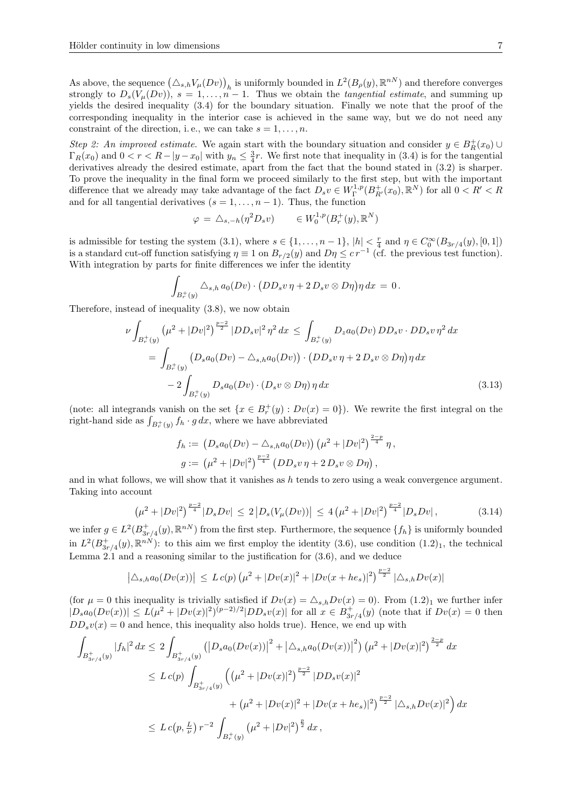As above, the sequence  $(\triangle_{s,h} V_\mu(Dv))_h$  is uniformly bounded in  $L^2(B_\rho(y), \mathbb{R}^{nN})$  and therefore converges strongly to  $D_s(V_\mu(Dv))$ ,  $s = 1, \ldots, n - 1$ . Thus we obtain the *tangential estimate*, and summing up yields the desired inequality (3.4) for the boundary situation. Finally we note that the proof of the corresponding inequality in the interior case is achieved in the same way, but we do not need any constraint of the direction, i.e., we can take  $s = 1, \ldots, n$ .

Step 2: An improved estimate. We again start with the boundary situation and consider  $y \in B_R^+(x_0)$  $\Gamma_R(x_0)$  and  $0 < r < R - |y - x_0|$  with  $y_n \leq \frac{3}{4}r$ . We first note that inequality in (3.4) is for the tangential derivatives already the desired estimate, apart from the fact that the bound stated in (3.2) is sharper. To prove the inequality in the final form we proceed similarly to the first step, but with the important difference that we already may take advantage of the fact  $D_s v \in W^{1,p}_\Gamma(B^+_{R'}(x_0), \mathbb{R}^N)$  for all  $0 < R' < R$ and for all tangential derivatives  $(s = 1, \ldots, n-1)$ . Thus, the function

$$
\varphi = \triangle_{s,-h}(\eta^2 D_s v) \qquad \in W_0^{1,p}(B_r^+(y), \mathbb{R}^N)
$$

is admissible for testing the system  $(3.1)$ , where  $s \in \{1, \ldots, n-1\}$ ,  $|h| < \frac{r}{4}$  and  $\eta \in C_0^{\infty}(B_{3r/4}(y), [0,1])$ is a standard cut-off function satisfying  $\eta \equiv 1$  on  $B_{r/2}(y)$  and  $D\eta \leq c r^{-1}$  (cf. the previous test function). With integration by parts for finite differences we infer the identity

$$
\int_{B_r^+(y)} \Delta_{s,h} a_0(Dv) \cdot (DD_s v \eta + 2 D_s v \otimes D\eta) \eta \, dx = 0.
$$

Therefore, instead of inequality (3.8), we now obtain

ν

$$
\int_{B_r^+(y)} \left(\mu^2 + |Dv|^2\right)^{\frac{p-2}{2}} |DD_s v|^2 \eta^2 dx \le \int_{B_r^+(y)} D_z a_0(Dv) DD_s v \cdot DD_s v \eta^2 dx
$$
  
= 
$$
\int_{B_r^+(y)} \left(D_s a_0(Dv) - \Delta_{s,h} a_0(Dv)\right) \cdot \left(DD_s v \eta + 2 D_s v \otimes D\eta\right) \eta dx
$$
  

$$
-2 \int_{B_r^+(y)} D_s a_0(Dv) \cdot \left(D_s v \otimes D\eta\right) \eta dx
$$
 (3.13)

(note: all integrands vanish on the set  $\{x \in B_r^+(y) : Dv(x) = 0\}$ ). We rewrite the first integral on the right-hand side as  $\int_{B_r^+(y)} f_h \cdot g \, dx$ , where we have abbreviated

$$
f_h := (D_s a_0(Dv) - \triangle_{s,h} a_0(Dv)) (\mu^2 + |Dv|^2)^{\frac{2-p}{4}} \eta,
$$
  

$$
g := (\mu^2 + |Dv|^2)^{\frac{p-2}{4}} (DD_s v \eta + 2 D_s v \otimes D\eta),
$$

and in what follows, we will show that it vanishes as  $h$  tends to zero using a weak convergence argument. Taking into account

$$
\left(\mu^2 + |Dv|^2\right)^{\frac{p-2}{4}} |D_s Dv| \le 2 \left|D_s (V_\mu(Dv))\right| \le 4 \left(\mu^2 + |Dv|^2\right)^{\frac{p-2}{4}} |D_s Dv|,\tag{3.14}
$$

we infer  $g \in L^2(B_{3r/4}^+(y), \mathbb{R}^{nN})$  from the first step. Furthermore, the sequence  $\{f_h\}$  is uniformly bounded in  $L^2(B_{3r/4}^+(y),\mathbb{R}^{nN})$ : to this aim we first employ the identity (3.6), use condition  $(1.2)_1$ , the technical Lemma 2.1 and a reasoning similar to the justification for (3.6), and we deduce

$$
\left| \Delta_{s,h} a_0(Dv(x)) \right| \le L c(p) \left( \mu^2 + |Dv(x)|^2 + |Dv(x + he_s)|^2 \right)^{\frac{p-2}{2}} |\Delta_{s,h} Dv(x)|
$$

(for  $\mu = 0$  this inequality is trivially satisfied if  $Dv(x) = \Delta_{s,h}Dv(x) = 0$ ). From  $(1.2)_1$  we further infer  $|D_s a_0(Dv(x))| \le L(\mu^2 + |Dv(x)|^2)^{(p-2)/2} |DD_s v(x)|$  for all  $x \in B^+_{3r/4}(y)$  (note that if  $Dv(x) = 0$  then  $DD_s v(x) = 0$  and hence, this inequality also holds true). Hence, we end up with

$$
\int_{B_{3r/4}^+(y)} |f_h|^2 dx \le 2 \int_{B_{3r/4}^+(y)} \left( |D_s a_0(Dv(x))|^2 + |\Delta_{s,h} a_0(Dv(x))|^2 \right) \left(\mu^2 + |Dv(x)|^2\right)^{\frac{2-p}{2}} dx
$$
\n
$$
\le L c(p) \int_{B_{3r/4}^+(y)} \left( \left(\mu^2 + |Dv(x)|^2\right)^{\frac{p-2}{2}} |D D_s v(x)|^2 + \left(\mu^2 + |Dv(x)|^2 + |Dv(x + he_s)|^2\right)^{\frac{p-2}{2}} |\Delta_{s,h} Dv(x)|^2 \right) dx
$$
\n
$$
\le L c(p, \frac{L}{\nu}) r^{-2} \int_{B_r^+(y)} \left(\mu^2 + |Dv|^2\right)^{\frac{p}{2}} dx,
$$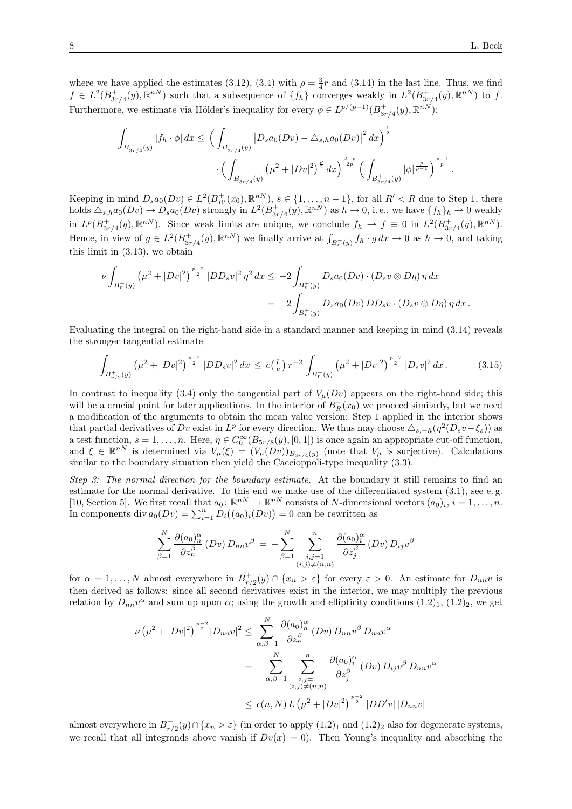where we have applied the estimates (3.12), (3.4) with  $\rho = \frac{3}{4}r$  and (3.14) in the last line. Thus, we find  $f \in L^2(B^+_{3r/4}(y), \mathbb{R}^{nN})$  such that a subsequence of  $\{f_h\}$  converges weakly in  $L^2(B^+_{3r/4}(y), \mathbb{R}^{nN})$  to f. Furthermore, we estimate via Hölder's inequality for every  $\phi \in L^{p/(p-1)}(B^+_{3r/4}(y), \mathbb{R}^{nN})$ :

$$
\int_{B_{3r/4}^+(y)} |f_h \cdot \phi| dx \le \left( \int_{B_{3r/4}^+(y)} |D_s a_0(Dv) - \Delta_{s,h} a_0(Dv)|^2 dx \right)^{\frac{1}{2}} \cdot \left( \int_{B_{3r/4}^+(y)} (\mu^2 + |Dv|^2)^{\frac{p}{2}} dx \right)^{\frac{2-p}{2p}} \left( \int_{B_{3r/4}^+(y)} |\phi|^{\frac{p}{p-1}} \right)^{\frac{p-1}{p}}.
$$

Keeping in mind  $D_s a_0(Dv) \in L^2(B_{R'}^+(x_0), \mathbb{R}^{nN}), s \in \{1, \ldots, n-1\}$ , for all  $R' < R$  due to Step 1, there holds  $\Delta_{s,h}a_0(Dv) \to D_s a_0(Dv)$  strongly in  $L^2(B^+_{3r/4}(y), \mathbb{R}^{nN})$  as  $h \to 0$ , i.e., we have  $\{f_h\}_h \to 0$  weakly in  $L^p(B_{3r/4}^+(y), \mathbb{R}^{nN})$ . Since weak limits are unique, we conclude  $f_h \rightharpoonup f \equiv 0$  in  $L^2(B_{3r/4}^+(y), \mathbb{R}^{nN})$ . Hence, in view of  $g \in L^2(B^+_{3r/4}(y), \mathbb{R}^{nN})$  we finally arrive at  $\int_{B^+_r(y)} f_h \cdot g \, dx \to 0$  as  $h \to 0$ , and taking this limit in (3.13), we obtain

$$
\nu \int_{B_r^+(y)} \left(\mu^2 + |Dv|^2\right)^{\frac{p-2}{2}} |DD_s v|^2 \eta^2 dx \le -2 \int_{B_r^+(y)} D_s a_0(Dv) \cdot (D_s v \otimes D\eta) \eta dx
$$
  
= 
$$
-2 \int_{B_r^+(y)} D_z a_0(Dv) DD_s v \cdot (D_s v \otimes D\eta) \eta dx.
$$

Evaluating the integral on the right-hand side in a standard manner and keeping in mind (3.14) reveals the stronger tangential estimate

$$
\int_{B_{r/2}^+(y)} \left(\mu^2 + |Dv|^2\right)^{\frac{p-2}{2}} |DD_s v|^2 \, dx \le c\left(\frac{L}{\nu}\right) r^{-2} \int_{B_r^+(y)} \left(\mu^2 + |Dv|^2\right)^{\frac{p-2}{2}} |D_s v|^2 \, dx \,. \tag{3.15}
$$

In contrast to inequality (3.4) only the tangential part of  $V_\mu(Dv)$  appears on the right-hand side; this will be a crucial point for later applications. In the interior of  $B_R^+(x_0)$  we proceed similarly, but we need a modification of the arguments to obtain the mean value version: Step 1 applied in the interior shows that partial derivatives of Dv exist in  $L^p$  for every direction. We thus may choose  $\Delta_{s,-h}(\eta^2(D_sv-\xi_s))$  as a test function,  $s = 1, \ldots, n$ . Here,  $\eta \in C_0^{\infty}(B_{5r/8}(y), [0, 1])$  is once again an appropriate cut-off function, and  $\xi \in \mathbb{R}^{nN}$  is determined via  $V_{\mu}(\xi) = (V_{\mu}(Dv))_{B_{3r/4}(y)}$  (note that  $V_{\mu}$  is surjective). Calculations similar to the boundary situation then yield the Caccioppoli-type inequality (3.3).

Step 3: The normal direction for the boundary estimate. At the boundary it still remains to find an estimate for the normal derivative. To this end we make use of the differentiated system (3.1), see e. g. [10, Section 5]. We first recall that  $a_0 \colon \mathbb{R}^{nN} \to \mathbb{R}^{nN}$  consists of N-dimensional vectors  $(a_0)_i$ ,  $i = 1, \ldots, n$ . In components div  $a_0(Dv) = \sum_{i=1}^n D_i((a_0)_i(Dv)) = 0$  can be rewritten as

$$
\sum_{\beta=1}^N \frac{\partial (a_0)_n^{\alpha}}{\partial z_n^{\beta}} (Dv) D_{nn} v^{\beta} = - \sum_{\beta=1}^N \sum_{\substack{i,j=1 \ (i,j) \neq (n,n)}}\frac{\partial (a_0)_i^{\alpha}}{\partial z_j^{\beta}} (Dv) D_{ij} v^{\beta}
$$

for  $\alpha = 1, \ldots, N$  almost everywhere in  $B_{r/2}^+(y) \cap \{x_n > \varepsilon\}$  for every  $\varepsilon > 0$ . An estimate for  $D_{nn}v$  is then derived as follows: since all second derivatives exist in the interior, we may multiply the previous relation by  $D_{nn}v^{\alpha}$  and sum up upon  $\alpha$ ; using the growth and ellipticity conditions  $(1.2)_1$ ,  $(1.2)_2$ , we get

$$
\nu (\mu^2 + |Dv|^2)^{\frac{p-2}{2}} |D_{nn}v|^2 \leq \sum_{\alpha,\beta=1}^N \frac{\partial (a_0)_n^{\alpha}}{\partial z_n^{\beta}} (Dv) D_{nn} v^{\beta} D_{nn} v^{\alpha}
$$
  

$$
= - \sum_{\alpha,\beta=1}^N \sum_{\substack{i,j=1 \ i,j \neq (n,n)}}^n \frac{\partial (a_0)_i^{\alpha}}{\partial z_j^{\beta}} (Dv) D_{ij} v^{\beta} D_{nn} v^{\alpha}
$$
  

$$
\leq c(n,N) L (\mu^2 + |Dv|^2)^{\frac{p-2}{2}} |DD'v| |D_{nn}v|
$$

almost everywhere in  $B_{r/2}^+(y) \cap \{x_n > \varepsilon\}$  (in order to apply  $(1.2)_1$  and  $(1.2)_2$  also for degenerate systems, we recall that all integrands above vanish if  $Dv(x) = 0$ . Then Young's inequality and absorbing the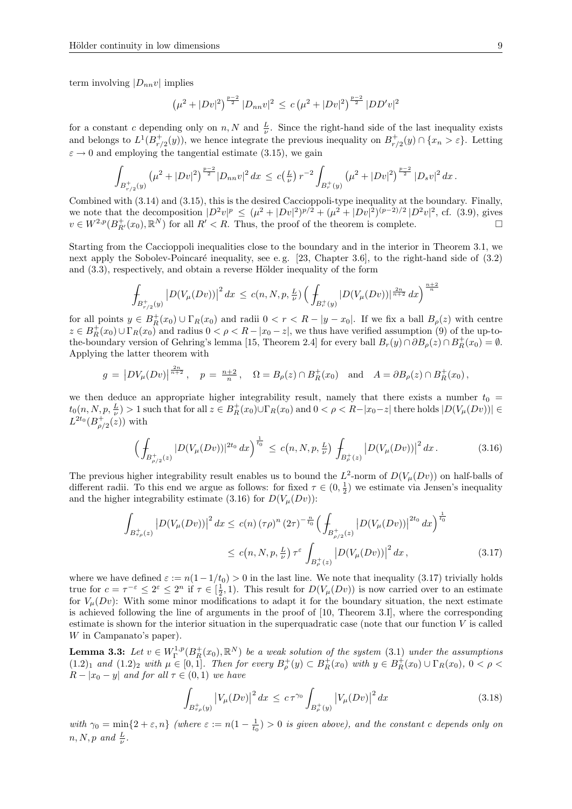term involving  $|D_{nn}v|$  implies

$$
\left(\mu^2 + |Dv|^2\right)^{\frac{p-2}{2}} |D_{nn}v|^2 \le c\left(\mu^2 + |Dv|^2\right)^{\frac{p-2}{2}} |DD'v|^2
$$

for a constant c depending only on n, N and  $\frac{L}{\nu}$ . Since the right-hand side of the last inequality exists and belongs to  $L^1(B_{r/2}^+(y))$ , we hence integrate the previous inequality on  $B_{r/2}^+(y) \cap \{x_n > \varepsilon\}$ . Letting  $\varepsilon \to 0$  and employing the tangential estimate (3.15), we gain

$$
\int_{B_{r/2}^+(y)} \left(\mu^2 + |Dv|^2\right)^{\frac{p-2}{2}} |D_{nn}v|^2 dx \leq c\left(\frac{L}{\nu}\right) r^{-2} \int_{B_r^+(y)} \left(\mu^2 + |Dv|^2\right)^{\frac{p-2}{2}} |D_s v|^2 dx.
$$

Combined with (3.14) and (3.15), this is the desired Caccioppoli-type inequality at the boundary. Finally, we note that the decomposition  $|D^2v|^p \leq (\mu^2 + |Dv|^2)^{p/2} + (\mu^2 + |Dv|^2)^{(p-2)/2} |D^2v|^2$ , cf. (3.9), gives  $v \in W^{2,p}(B_{R'}^+(x_0),\mathbb{R}^N)$  for all  $R' < R$ . Thus, the proof of the theorem is complete.

Starting from the Caccioppoli inequalities close to the boundary and in the interior in Theorem 3.1, we next apply the Sobolev-Poincaré inequality, see e.g.  $[23,$  Chapter 3.6, to the right-hand side of  $(3.2)$ and  $(3.3)$ , respectively, and obtain a reverse Hölder inequality of the form

$$
\int_{B_{r/2}^+(y)} |D(V_\mu(Dv))|^2 dx \le c(n, N, p, \frac{L}{\nu}) \left( \int_{B_r^+(y)} |D(V_\mu(Dv))|^{\frac{2n}{n+2}} dx \right)^{\frac{n+2}{n}}
$$

for all points  $y \in B_R^+(x_0) \cup \Gamma_R(x_0)$  and radii  $0 < r < R - |y - x_0|$ . If we fix a ball  $B_\rho(z)$  with centre  $z \in B_R^+(x_0) \cup \Gamma_R(x_0)$  and radius  $0 < \rho < R - |x_0 - z|$ , we thus have verified assumption (9) of the up-tothe-boundary version of Gehring's lemma [15, Theorem 2.4] for every ball  $B_r(y) \cap \partial B_\rho(z) \cap B_R^+(x_0) = \emptyset$ . Applying the latter theorem with

$$
g = |DV_{\mu}(Dv)|^{\frac{2n}{n+2}}, \quad p = \frac{n+2}{n}, \quad \Omega = B_{\rho}(z) \cap B_R^+(x_0) \quad \text{and} \quad A = \partial B_{\rho}(z) \cap B_R^+(x_0),
$$

we then deduce an appropriate higher integrability result, namely that there exists a number  $t_0 =$  $t_0(n, N, p, \frac{L}{\nu}) > 1$  such that for all  $z \in B_R^+(x_0) \cup \Gamma_R(x_0)$  and  $0 < \rho < R-|x_0-z|$  there holds  $|D(V_\mu(Dv))| \in$  $L^{2t_0}(B_{\rho/2}^+(z))$  with

$$
\left(\int_{B_{\rho/2}^+(z)}|D(V_\mu(Dv))|^{2t_0}dx\right)^{\frac{1}{t_0}} \le c(n,N,p,\frac{L}{\nu})\int_{B_{\rho}^+(z)}|D(V_\mu(Dv))|^2\,dx\,. \tag{3.16}
$$

The previous higher integrability result enables us to bound the  $L^2$ -norm of  $D(V_\mu(Dv))$  on half-balls of different radii. To this end we argue as follows: for fixed  $\tau \in (0, \frac{1}{2})$  we estimate via Jensen's inequality and the higher integrability estimate (3.16) for  $D(V_\mu(Dv))$ :

$$
\int_{B_{\tau\rho}^{+}(z)} |D(V_{\mu}(Dv))|^{2} dx \leq c(n) (\tau\rho)^{n} (2\tau)^{-\frac{n}{t_{0}}} \Big(\int_{B_{\rho/2}^{+}(z)} |D(V_{\mu}(Dv))|^{2t_{0}} dx\Big)^{\frac{1}{t_{0}}} \leq c(n, N, p, \frac{L}{\nu}) \tau^{\varepsilon} \int_{B_{\rho}^{+}(z)} |D(V_{\mu}(Dv))|^{2} dx , \qquad (3.17)
$$

where we have defined  $\varepsilon := n(1-1/t_0) > 0$  in the last line. We note that inequality (3.17) trivially holds true for  $c = \tau^{-\varepsilon} \leq 2^{\varepsilon} \leq 2^n$  if  $\tau \in [\frac{1}{2}, 1)$ . This result for  $D(V_\mu(Dv))$  is now carried over to an estimate for  $V_\mu(Dv)$ : With some minor modifications to adapt it for the boundary situation, the next estimate is achieved following the line of arguments in the proof of [10, Theorem 3.I], where the corresponding estimate is shown for the interior situation in the superquadratic case (note that our function V is called W in Campanato's paper).

**Lemma 3.3:** Let  $v \in W^{1,p}_\Gamma(B^+_R(x_0), \mathbb{R}^N)$  be a weak solution of the system (3.1) under the assumptions  $(1.2)_1$  and  $(1.2)_2$  with  $\mu \in [0,1]$ . Then for every  $B_{\rho}^+(y) \subset B_R^+(x_0)$  with  $y \in B_R^+(x_0) \cup \Gamma_R(x_0)$ ,  $0 < \rho <$  $R - |x_0 - y|$  and for all  $\tau \in (0, 1)$  we have

$$
\int_{B_{\tau\rho}^{+}(y)} \left| V_{\mu}(Dv) \right|^{2} dx \leq c \tau^{\gamma_{0}} \int_{B_{\rho}^{+}(y)} \left| V_{\mu}(Dv) \right|^{2} dx \tag{3.18}
$$

with  $\gamma_0 = \min_{z} \{2 + \varepsilon, n\}$  (where  $\varepsilon := n(1 - \frac{1}{t_0}) > 0$  is given above), and the constant c depends only on  $n, N, p \text{ and } \frac{L}{\nu}.$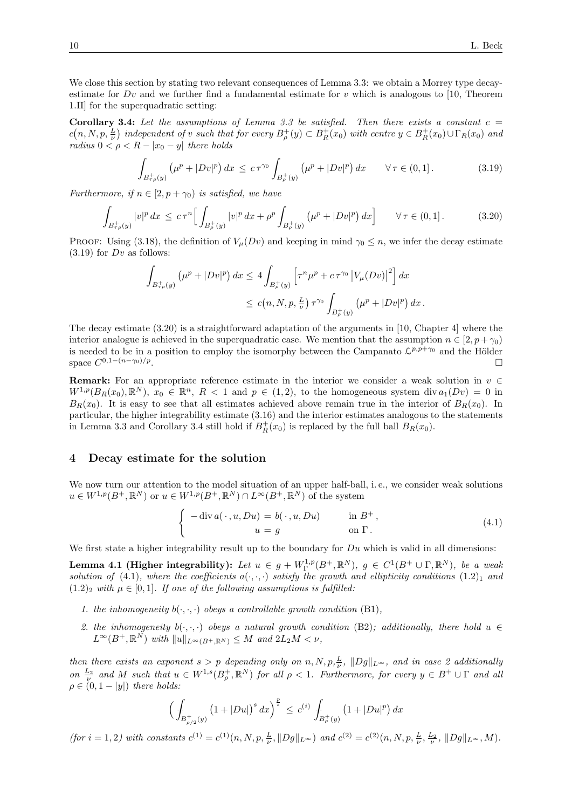We close this section by stating two relevant consequences of Lemma 3.3: we obtain a Morrey type decayestimate for  $Dv$  and we further find a fundamental estimate for v which is analogous to [10, Theorem 1.II] for the superquadratic setting:

Corollary 3.4: Let the assumptions of Lemma 3.3 be satisfied. Then there exists a constant  $c =$  $c(n, N, p, \frac{L}{\nu})$  independent of v such that for every  $B_{\rho}^+(y) \subset B_R^+(x_0)$  with centre  $y \in B_R^+(x_0) \cup \Gamma_R(x_0)$  and radius  $0 < \rho < R - |x_0 - y|$  there holds

$$
\int_{B_{\tau\rho}^+(y)} \left(\mu^p + |Dv|^p\right) dx \le c \tau^{\gamma_0} \int_{B_{\rho}^+(y)} \left(\mu^p + |Dv|^p\right) dx \qquad \forall \tau \in (0,1]. \tag{3.19}
$$

Furthermore, if  $n \in [2, p + \gamma_0)$  is satisfied, we have

$$
\int_{B_{\tau\rho}^+(y)} |v|^p \, dx \le c \, \tau^n \Big[ \int_{B_{\rho}^+(y)} |v|^p \, dx + \rho^p \int_{B_{\rho}^+(y)} \left( \mu^p + |Dv|^p \right) dx \Big] \qquad \forall \, \tau \in (0,1]. \tag{3.20}
$$

PROOF: Using (3.18), the definition of  $V_\mu(Dv)$  and keeping in mind  $\gamma_0 \leq n$ , we infer the decay estimate  $(3.19)$  for Dv as follows:

$$
\int_{B_{\tau\rho}^+(y)} \left( \mu^p + |Dv|^p \right) dx \le 4 \int_{B_{\rho}^+(y)} \left[ \tau^n \mu^p + c \, \tau^{\gamma_0} \left| V_\mu(Dv) \right|^2 \right] dx
$$
  

$$
\le c(n, N, p, \frac{L}{\nu}) \, \tau^{\gamma_0} \int_{B_{\rho}^+(y)} \left( \mu^p + |Dv|^p \right) dx.
$$

The decay estimate (3.20) is a straightforward adaptation of the arguments in [10, Chapter 4] where the interior analogue is achieved in the superquadratic case. We mention that the assumption  $n \in [2, p+\gamma_0)$ is needed to be in a position to employ the isomorphy between the Campanato  $\mathcal{L}^{p,p+\gamma_0}$  and the Hölder space  $C^{0,1-(n-\gamma_0)/p}$ .

**Remark:** For an appropriate reference estimate in the interior we consider a weak solution in  $v \in$  $W^{1,p}(B_R(x_0),\mathbb{R}^N), x_0 \in \mathbb{R}^n, R < 1$  and  $p \in (1,2)$ , to the homogeneous system div  $a_1(Dv) = 0$  in  $B_R(x_0)$ . It is easy to see that all estimates achieved above remain true in the interior of  $B_R(x_0)$ . In particular, the higher integrability estimate (3.16) and the interior estimates analogous to the statements in Lemma 3.3 and Corollary 3.4 still hold if  $B_R^+(x_0)$  is replaced by the full ball  $B_R(x_0)$ .

#### 4 Decay estimate for the solution

We now turn our attention to the model situation of an upper half-ball, i.e., we consider weak solutions  $u \in W^{1,p}(B^+,\mathbb{R}^N)$  or  $u \in W^{1,p}(B^+,\mathbb{R}^N) \cap L^{\infty}(B^+,\mathbb{R}^N)$  of the system

$$
\begin{cases}\n-\operatorname{div} a(\,\cdot\,,u,Du) = b(\,\cdot\,,u,Du) & \text{in } B^+, \\
u = g & \text{on } \Gamma.\n\end{cases}
$$
\n(4.1)

We first state a higher integrability result up to the boundary for  $Du$  which is valid in all dimensions:

**Lemma 4.1 (Higher integrability):** Let  $u \in g + W^{1,p}_\Gamma(B^+, \mathbb{R}^N)$ ,  $g \in C^1(B^+ \cup \Gamma, \mathbb{R}^N)$ , be a weak solution of (4.1), where the coefficients  $a(\cdot, \cdot, \cdot)$  satisfy the growth and ellipticity conditions  $(1.2)_1$  and  $(1.2)_2$  with  $\mu \in [0,1]$ . If one of the following assumptions is fulfilled:

- 1. the inhomogeneity  $b(\cdot, \cdot, \cdot)$  obeys a controllable growth condition (B1),
- 2. the inhomogeneity  $b(\cdot, \cdot, \cdot)$  obeys a natural growth condition (B2); additionally, there hold  $u \in$  $L^{\infty}(B^+,\mathbb{R}^N)$  with  $||u||_{L^{\infty}(B^+,\mathbb{R}^N)} \leq M$  and  $2L_2M < \nu$ ,

then there exists an exponent  $s > p$  depending only on  $n, N, p, \frac{L}{\nu}$ ,  $||Dg||_{L^{\infty}}$ , and in case 2 additionally on  $\frac{L_2}{\nu}$  and M such that  $u \in W^{1,s}(B_\rho^+,\mathbb{R}^N)$  for all  $\rho < 1$ . Furthermore, for every  $y \in B^+ \cup \Gamma$  and all  $\rho \in (0, 1 - |y|)$  there holds:

$$
\Big(\int_{B_{\rho/2}^+(y)} \big(1+|Du|\big)^s\,dx\Big)^{\frac{p}{s}} \le c^{(i)}\int_{B_{\rho}^+(y)} \big(1+|Du|^p\big)\,dx
$$

 $($ for  $i = 1, 2)$  with constants  $c^{(1)} = c^{(1)}(n, N, p, \frac{L}{\nu}, ||Dg||_{L^{\infty}})$  and  $c^{(2)} = c^{(2)}(n, N, p, \frac{L}{\nu}, \frac{L_2}{\nu}, ||Dg||_{L^{\infty}}, M)$ .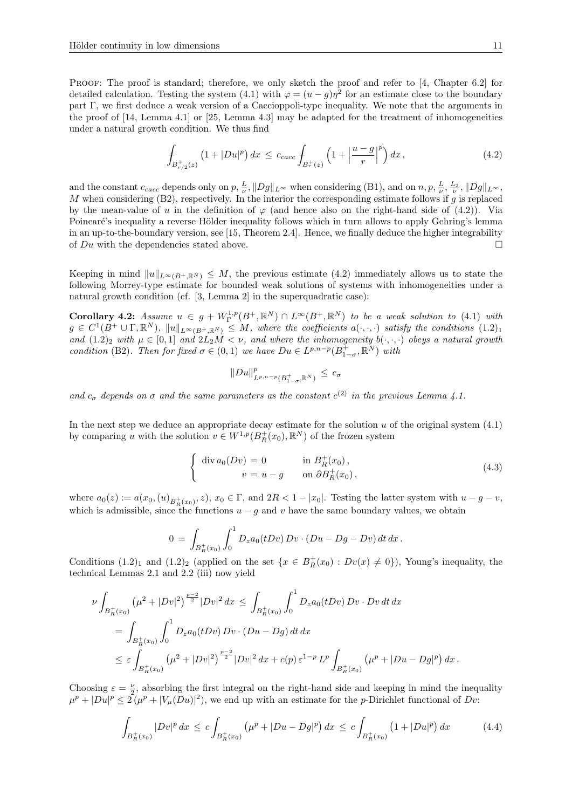PROOF: The proof is standard; therefore, we only sketch the proof and refer to [4, Chapter 6.2] for detailed calculation. Testing the system (4.1) with  $\varphi = (u - g)\eta^2$  for an estimate close to the boundary part Γ, we first deduce a weak version of a Caccioppoli-type inequality. We note that the arguments in the proof of [14, Lemma 4.1] or [25, Lemma 4.3] may be adapted for the treatment of inhomogeneities under a natural growth condition. We thus find

$$
\int_{B_{r/2}^+(z)} \left(1 + |Du|^p\right) dx \le c_{cacc} \int_{B_r^+(z)} \left(1 + \left|\frac{u - g}{r}\right|^p\right) dx \,,\tag{4.2}
$$

and the constant  $c_{cacc}$  depends only on  $p, \frac{L}{\nu}, ||Dg||_{L^{\infty}}$  when considering (B1), and on  $n, p, \frac{L}{\nu}, \frac{L_2}{\nu}, ||Dg||_{L^{\infty}}$ , M when considering  $(B2)$ , respectively. In the interior the corresponding estimate follows if g is replaced by the mean-value of u in the definition of  $\varphi$  (and hence also on the right-hand side of (4.2)). Via Poincaré's inequality a reverse Hölder inequality follows which in turn allows to apply Gehring's lemma in an up-to-the-boundary version, see [15, Theorem 2.4]. Hence, we finally deduce the higher integrability of  $Du$  with the dependencies stated above.

Keeping in mind  $||u||_{L^{\infty}(B+\mathbb{R}^N)} \leq M$ , the previous estimate (4.2) immediately allows us to state the following Morrey-type estimate for bounded weak solutions of systems with inhomogeneities under a natural growth condition (cf. [3, Lemma 2] in the superquadratic case):

Corollary 4.2: Assume  $u \in g + W^{1,p}_\Gamma(B^+, \mathbb{R}^N) \cap L^\infty(B^+, \mathbb{R}^N)$  to be a weak solution to (4.1) with  $g \in C^1(B^+ \cup \Gamma, \mathbb{R}^N)$ ,  $||u||_{L^{\infty}(B^+, \mathbb{R}^N)} \leq M$ , where the coefficients  $a(\cdot, \cdot, \cdot)$  satisfy the conditions  $(1.2)_1$ and  $(1.2)_2$  with  $\mu \in [0,1]$  and  $2L_2M < \nu$ , and where the inhomogeneity  $b(\cdot,\cdot,\cdot)$  obeys a natural growth condition (B2). Then for fixed  $\sigma \in (0,1)$  we have  $Du \in L^{p,n-p}(B^+_{1-\sigma}, \mathbb{R}^N)$  with

$$
||Du||_{L^{p,n-p}(B_{1-\sigma}^+,\mathbb{R}^N)}^p \leq c_{\sigma}
$$

and  $c_{\sigma}$  depends on  $\sigma$  and the same parameters as the constant  $c^{(2)}$  in the previous Lemma 4.1.

In the next step we deduce an appropriate decay estimate for the solution  $u$  of the original system  $(4.1)$ by comparing u with the solution  $v \in W^{1,p}(B_R^+(x_0), \mathbb{R}^N)$  of the frozen system

$$
\begin{cases} \operatorname{div} a_0(Dv) = 0 & \text{in } B_R^+(x_0), \\ v = u - g & \text{on } \partial B_R^+(x_0), \end{cases}
$$
\n(4.3)

where  $a_0(z) := a(x_0, (u)_{B_R^+(x_0)}, z)$ ,  $x_0 \in \Gamma$ , and  $2R < 1 - |x_0|$ . Testing the latter system with  $u - g - v$ , which is admissible, since the functions  $u - g$  and v have the same boundary values, we obtain

$$
0 = \int_{B_R^+(x_0)} \int_0^1 D_z a_0(tDv) Dv \cdot (Du - Dg - Dv) dt dx.
$$

Conditions  $(1.2)_1$  and  $(1.2)_2$  (applied on the set  $\{x \in B_R^+(x_0) : Dv(x) \neq 0\}$ ), Young's inequality, the technical Lemmas 2.1 and 2.2 (iii) now yield

$$
\nu \int_{B_R^+(x_0)} (\mu^2 + |Dv|^2)^{\frac{p-2}{2}} |Dv|^2 dx \le \int_{B_R^+(x_0)} \int_0^1 D_z a_0(tDv) Dv \cdot Dv dt dx
$$
  
= 
$$
\int_{B_R^+(x_0)} \int_0^1 D_z a_0(tDv) Dv \cdot (Du - Dg) dt dx
$$
  

$$
\le \varepsilon \int_{B_R^+(x_0)} (\mu^2 + |Dv|^2)^{\frac{p-2}{2}} |Dv|^2 dx + c(p) \varepsilon^{1-p} L^p \int_{B_R^+(x_0)} (\mu^p + |Du - Dg|^p) dx.
$$

Choosing  $\varepsilon = \frac{\nu}{2}$ , absorbing the first integral on the right-hand side and keeping in mind the inequality  $\mu^p + |Du|^p \leq 2(\mu^p + |V_\mu(Du)|^2)$ , we end up with an estimate for the *p*-Dirichlet functional of *Dv*:

$$
\int_{B_R^+(x_0)} |Dv|^p \, dx \le c \int_{B_R^+(x_0)} \left(\mu^p + |Du - Dg|^p\right) dx \le c \int_{B_R^+(x_0)} \left(1 + |Du|^p\right) dx \tag{4.4}
$$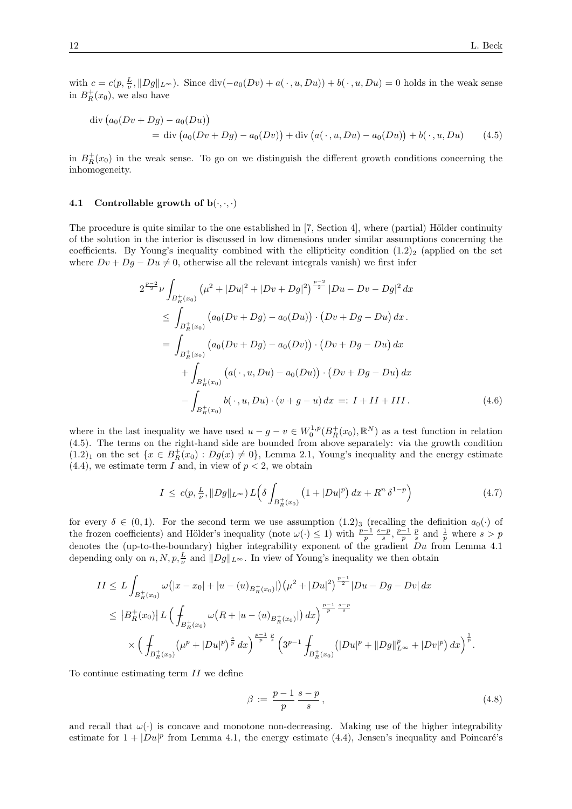with  $c = c(p, \frac{L}{\nu}, ||Dg||_{L^{\infty}})$ . Since  $\text{div}(-a_0(Dv) + a(\cdot, u, Du)) + b(\cdot, u, Du) = 0$  holds in the weak sense in  $B_R^+(x_0)$ , we also have

$$
\begin{aligned} \text{div} \left( a_0 (Dv + Dg) - a_0 (Du) \right) \\ &= \text{div} \left( a_0 (Dv + Dg) - a_0 (Dv) \right) + \text{div} \left( a(\,\cdot\,, u, Du) - a_0 (Du) \right) + b(\,\cdot\,, u, Du) \end{aligned} \tag{4.5}
$$

in  $B_R^+(x_0)$  in the weak sense. To go on we distinguish the different growth conditions concerning the inhomogeneity.

#### 4.1 Controllable growth of  $b(\cdot, \cdot, \cdot)$

The procedure is quite similar to the one established in  $[7,$  Section 4 $]$ , where (partial) Hölder continuity of the solution in the interior is discussed in low dimensions under similar assumptions concerning the coefficients. By Young's inequality combined with the ellipticity condition  $(1.2)_2$  (applied on the set where  $Dv + Dg - Du \neq 0$ , otherwise all the relevant integrals vanish) we first infer

$$
2^{\frac{p-2}{2}}\nu \int_{B_R^+(x_0)} (\mu^2 + |Du|^2 + |Dv + Dg|^2)^{\frac{p-2}{2}} |Du - Dv - Dg|^2 dx
$$
  
\n
$$
\leq \int_{B_R^+(x_0)} (a_0(Dv + Dg) - a_0(Du)) \cdot (Dv + Dg - Du) dx.
$$
  
\n
$$
= \int_{B_R^+(x_0)} (a_0(Dv + Dg) - a_0(Dv)) \cdot (Dv + Dg - Du) dx
$$
  
\n
$$
+ \int_{B_R^+(x_0)} (a(\cdot, u, Du) - a_0(Du)) \cdot (Dv + Dg - Du) dx
$$
  
\n
$$
- \int_{B_R^+(x_0)} b(\cdot, u, Du) \cdot (v + g - u) dx =: I + II + III.
$$
 (4.6)

where in the last inequality we have used  $u-g-v \in W_0^{1,p}(B_R^+(x_0),\mathbb{R}^N)$  as a test function in relation (4.5). The terms on the right-hand side are bounded from above separately: via the growth condition  $(1.2)_1$  on the set  $\{x \in B_R^+(x_0) : Dg(x) \neq 0\}$ , Lemma 2.1, Young's inequality and the energy estimate  $(4.4)$ , we estimate term I and, in view of  $p < 2$ , we obtain

$$
I \le c(p, \frac{L}{\nu}, \|Dg\|_{L^{\infty}}) L(\delta \int_{B_R^+(x_0)} \left(1 + |Du|^p\right) dx + R^n \delta^{1-p} \tag{4.7}
$$

for every  $\delta \in (0,1)$ . For the second term we use assumption  $(1.2)_3$  (recalling the definition  $a_0(\cdot)$  of the frozen coefficients) and Hölder's inequality (note  $\omega(\cdot) \leq 1$ ) with  $\frac{p-1}{p} \frac{s-p}{s}, \frac{p-1}{p} \frac{p}{s}$  and  $\frac{1}{p}$  where  $s > p$ denotes the (up-to-the-boundary) higher integrability exponent of the gradient  $Du$  from Lemma 4.1 depending only on  $n, N, p, \frac{L}{\nu}$  and  $||Dg||_{L^{\infty}}$ . In view of Young's inequality we then obtain

$$
II \leq L \int_{B_R^+(x_0)} \omega(|x-x_0|+|u-(u)_{B_R^+(x_0)}|) (\mu^2 + |Du|^2)^{\frac{p-1}{2}} |Du - Dg - Dv| dx
$$
  
\n
$$
\leq |B_R^+(x_0)| L \left( \int_{B_R^+(x_0)} \omega(R + |u - (u)_{B_R^+(x_0)}|) dx \right)^{\frac{p-1}{p} \frac{s-p}{s}}
$$
  
\n
$$
\times \left( \int_{B_R^+(x_0)} (\mu^p + |Du|^p)^{\frac{s}{p}} dx \right)^{\frac{p-1}{p} \frac{p}{s}} \left( 3^{p-1} \int_{B_R^+(x_0)} (|Du|^p + ||Dg||_{L^{\infty}}^p + |Dv|^p) dx \right)^{\frac{1}{p}}.
$$

To continue estimating term II we define

$$
\beta := \frac{p-1}{p} \frac{s-p}{s},\tag{4.8}
$$

and recall that  $\omega(\cdot)$  is concave and monotone non-decreasing. Making use of the higher integrability estimate for  $1 + |Du|^p$  from Lemma 4.1, the energy estimate (4.4), Jensen's inequality and Poincaré's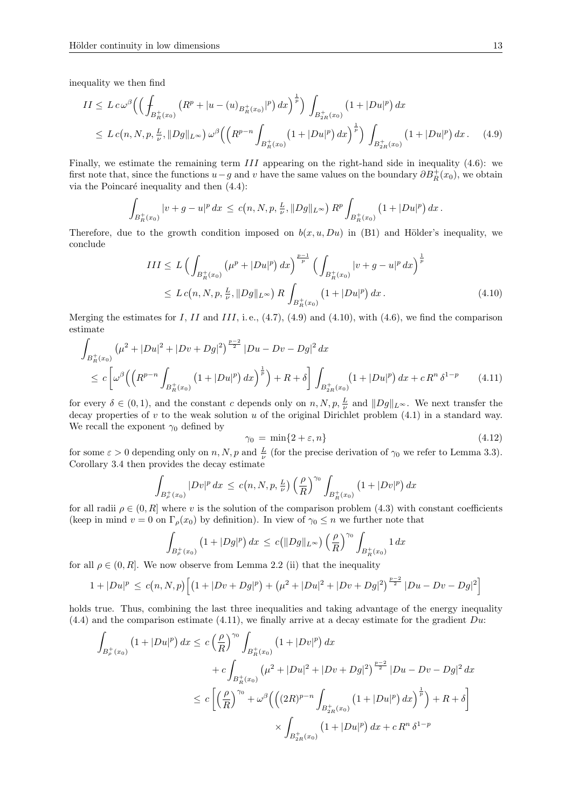inequality we then find

$$
II \leq L c \omega^{\beta} \Big( \Big( \int_{B_R^+(x_0)} \left( R^p + |u - (u)_{B_R^+(x_0)}|^p \right) dx \Big)^{\frac{1}{p}} \Big) \int_{B_{2R}^+(x_0)} \left( 1 + |Du|^p \right) dx
$$
  

$$
\leq L c(n, N, p, \frac{L}{\nu}, ||Dg||_{L^{\infty}}) \omega^{\beta} \Big( \Big( R^{p-n} \int_{B_R^+(x_0)} \left( 1 + |Du|^p \right) dx \Big)^{\frac{1}{p}} \Big) \int_{B_{2R}^+(x_0)} \left( 1 + |Du|^p \right) dx. \tag{4.9}
$$

Finally, we estimate the remaining term III appearing on the right-hand side in inequality (4.6): we first note that, since the functions  $u-g$  and v have the same values on the boundary  $\partial B_R^+(x_0)$ , we obtain via the Poincaré inequality and then  $(4.4)$ :

$$
\int_{B_R^+(x_0)} |v+g-u|^p \, dx \, \leq \, c\big(n,N,p,\tfrac{L}{\nu},\|Dg\|_{L^\infty}\big) \, R^p \int_{B_R^+(x_0)} \big(1+|Du|^p\big) \, dx \, .
$$

Therefore, due to the growth condition imposed on  $b(x, u, Du)$  in (B1) and Hölder's inequality, we conclude

$$
III \le L \left( \int_{B_R^+(x_0)} (\mu^p + |Du|^p) \, dx \right)^{\frac{p-1}{p}} \left( \int_{B_R^+(x_0)} |v + g - u|^p \, dx \right)^{\frac{1}{p}}
$$
  

$$
\le L c(n, N, p, \frac{L}{\nu}, ||Dg||_{L^{\infty}}) R \int_{B_R^+(x_0)} (1 + |Du|^p) \, dx. \tag{4.10}
$$

Merging the estimates for I, II and III, i.e.,  $(4.7)$ ,  $(4.9)$  and  $(4.10)$ , with  $(4.6)$ , we find the comparison estimate

$$
\int_{B_R^+(x_0)} (\mu^2 + |Du|^2 + |Dv + Dg|^2)^{\frac{p-2}{2}} |Du - Dv - Dg|^2 dx
$$
\n
$$
\leq c \left[ \omega^\beta \left( \left( R^{p-n} \int_{B_R^+(x_0)} (1 + |Du|^p) dx \right)^{\frac{1}{p}} \right) + R + \delta \right] \int_{B_{2R}^+(x_0)} (1 + |Du|^p) dx + c R^n \delta^{1-p} \tag{4.11}
$$

for every  $\delta \in (0,1)$ , and the constant c depends only on  $n, N, p, \frac{L}{\nu}$  and  $||Dg||_{L^{\infty}}$ . We next transfer the decay properties of  $v$  to the weak solution  $u$  of the original Dirichlet problem (4.1) in a standard way. We recall the exponent  $\gamma_0$  defined by

$$
\gamma_0 = \min\{2 + \varepsilon, n\} \tag{4.12}
$$

for some  $\varepsilon > 0$  depending only on n, N, p and  $\frac{L}{\nu}$  (for the precise derivation of  $\gamma_0$  we refer to Lemma 3.3). Corollary 3.4 then provides the decay estimate

$$
\int_{B_{\rho}^+(x_0)} |Dv|^p \, dx \, \leq \, c\big(n, N, p, \frac{L}{\nu}\big) \left(\frac{\rho}{R}\right)^{\gamma_0} \int_{B_R^+(x_0)} \big(1 + |Dv|^p\big) \, dx
$$

for all radii  $\rho \in (0, R]$  where v is the solution of the comparison problem (4.3) with constant coefficients (keep in mind  $v = 0$  on  $\Gamma_{\rho}(x_0)$  by definition). In view of  $\gamma_0 \leq n$  we further note that

$$
\int_{B_{\rho}^+(x_0)} \left(1 + |Dg|^p\right) dx \, \leq \, c\big( \|Dg\|_{L^{\infty}} \big) \left(\frac{\rho}{R}\right)^{\gamma_0} \int_{B_R^+(x_0)} 1 \, dx
$$

for all  $\rho \in (0, R]$ . We now observe from Lemma 2.2 (ii) that the inequality

$$
1+|Du|^p \le c(n,N,p)\left[ (1+|Dv+Dg|^p) + (\mu^2+|Du|^2+|Dv+Dg|^2)^{\frac{p-2}{2}}|Du-Dv-Dg|^2 \right]
$$

holds true. Thus, combining the last three inequalities and taking advantage of the energy inequality  $(4.4)$  and the comparison estimate  $(4.11)$ , we finally arrive at a decay estimate for the gradient Du:

$$
\int_{B_{\rho}^{+}(x_{0})} \left(1+|Du|^{p}\right) dx \leq c \left(\frac{\rho}{R}\right)^{\gamma_{0}} \int_{B_{R}^{+}(x_{0})} \left(1+|Dv|^{p}\right) dx \n+ c \int_{B_{R}^{+}(x_{0})} \left(\mu^{2}+|Du|^{2}+|Dv+Dg|^{2}\right)^{\frac{p-2}{2}} |Du-Dv-Dg|^{2} dx \n\leq c \left[\left(\frac{\rho}{R}\right)^{\gamma_{0}} + \omega^{\beta} \left(\left((2R)^{p-n}\int_{B_{2R}^{+}(x_{0})} \left(1+|Du|^{p}\right) dx\right)^{\frac{1}{p}}\right) + R + \delta\right] \n\times \int_{B_{2R}^{+}(x_{0})} \left(1+|Du|^{p}\right) dx + c R^{n} \delta^{1-p}
$$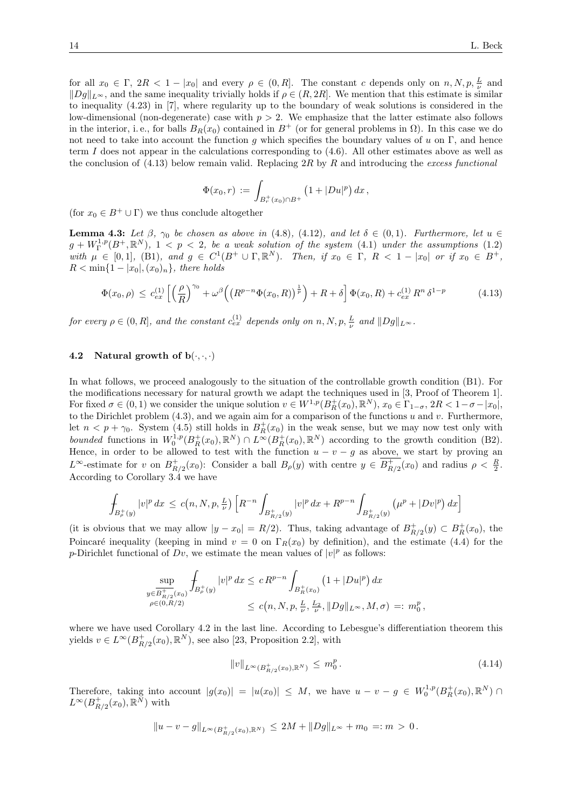for all  $x_0 \in \Gamma$ ,  $2R < 1 - |x_0|$  and every  $\rho \in (0, R]$ . The constant c depends only on  $n, N, p, \frac{L}{\nu}$  and  $||Dg||_{L^{\infty}}$ , and the same inequality trivially holds if  $\rho \in (R, 2R]$ . We mention that this estimate is similar to inequality (4.23) in [7], where regularity up to the boundary of weak solutions is considered in the low-dimensional (non-degenerate) case with  $p > 2$ . We emphasize that the latter estimate also follows in the interior, i.e., for balls  $B_R(x_0)$  contained in  $B^+$  (or for general problems in  $\Omega$ ). In this case we do not need to take into account the function g which specifies the boundary values of u on Γ, and hence term I does not appear in the calculations corresponding to  $(4.6)$ . All other estimates above as well as the conclusion of  $(4.13)$  below remain valid. Replacing 2R by R and introducing the excess functional

$$
\Phi(x_0,r) := \int_{B_r^+(x_0) \cap B^+} \left(1 + |Du|^p\right) dx,
$$

(for  $x_0 \in B^+ \cup \Gamma$ ) we thus conclude altogether

**Lemma 4.3:** Let  $\beta$ ,  $\gamma_0$  be chosen as above in (4.8), (4.12), and let  $\delta \in (0,1)$ . Furthermore, let  $u \in$  $g+W^{1,p}_\Gamma(B^+,\mathbb R^N),\;1< p< 2,\;b\epsilon\;a\;weak\;solution\;of\;the\;system\;(4.1)\;under\;the\;assumptions\;(1.2)$ with  $\mu \in [0,1]$ , (B1), and  $g \in C^1(B^+ \cup \Gamma, \mathbb{R}^N)$ . Then, if  $x_0 \in \Gamma$ ,  $R < 1 - |x_0|$  or if  $x_0 \in B^+$ ,  $R < \min\{1-|x_0|,(x_0)_n\}$ , there holds

$$
\Phi(x_0, \rho) \le c_{ex}^{(1)} \left[ \left( \frac{\rho}{R} \right)^{\gamma_0} + \omega^{\beta} \left( \left( R^{p-n} \Phi(x_0, R) \right)^{\frac{1}{p}} \right) + R + \delta \right] \Phi(x_0, R) + c_{ex}^{(1)} R^n \delta^{1-p}
$$
(4.13)

for every  $\rho \in (0, R]$ , and the constant  $c_{ex}^{(1)}$  depends only on  $n, N, p, \frac{L}{\nu}$  and  $||Dg||_{L^{\infty}}$ .

#### 4.2 Natural growth of  $b(\cdot, \cdot, \cdot)$

In what follows, we proceed analogously to the situation of the controllable growth condition (B1). For the modifications necessary for natural growth we adapt the techniques used in [3, Proof of Theorem 1]. For fixed  $\sigma \in (0,1)$  we consider the unique solution  $v \in W^{1,p}(B_R^+(x_0), \mathbb{R}^N)$ ,  $x_0 \in \Gamma_{1-\sigma}$ ,  $2R < 1-\sigma-|x_0|$ , to the Dirichlet problem  $(4.3)$ , and we again aim for a comparison of the functions u and v. Furthermore, let  $n < p + \gamma_0$ . System (4.5) still holds in  $B_R^+(x_0)$  in the weak sense, but we may now test only with bounded functions in  $W_0^{1,p}(B_R^+(x_0), \mathbb{R}^N) \cap L^\infty(B_R^+(x_0), \mathbb{R}^N)$  according to the growth condition (B2). Hence, in order to be allowed to test with the function  $u - v - g$  as above, we start by proving an  $L^{\infty}$ -estimate for v on  $B_{R/2}^+(x_0)$ : Consider a ball  $B_{\rho}(y)$  with centre  $y \in \overline{B_{R/2}^+(x_0)}$  and radius  $\rho < \frac{R}{2}$ . According to Corollary 3.4 we have

$$
\int_{B_{\rho}^+(y)} |v|^p dx \le c(n, N, p, \frac{L}{\nu}) \left[ R^{-n} \int_{B_{R/2}^+(y)} |v|^p dx + R^{p-n} \int_{B_{R/2}^+(y)} \left( \mu^p + |Dv|^p \right) dx \right]
$$

(it is obvious that we may allow  $|y - x_0| = R/2$ ). Thus, taking advantage of  $B_{R/2}^+(y) \subset B_R^+(x_0)$ , the Poincaré inequality (keeping in mind  $v = 0$  on  $\Gamma_R(x_0)$  by definition), and the estimate (4.4) for the p-Dirichlet functional of Dv, we estimate the mean values of  $|v|^p$  as follows:

$$
\sup_{\substack{y \in \overline{B_{R/2}^+(x_0)}}} \int_{B_{\rho}^+(y)} |v|^p dx \le c R^{p-n} \int_{B_R^+(x_0)} (1 + |Du|^p) dx
$$
  

$$
\le c(n, N, p, \frac{L}{\nu}, \frac{L_2}{\nu}, ||Dg||_{L^{\infty}}, M, \sigma) =: m_0^p,
$$

where we have used Corollary 4.2 in the last line. According to Lebesgue's differentiation theorem this yields  $v \in L^{\infty}(B_{R/2}^+(x_0), \mathbb{R}^N)$ , see also [23, Proposition 2.2], with

$$
||v||_{L^{\infty}(B_{R/2}^+(x_0), \mathbb{R}^N)} \le m_0^p. \tag{4.14}
$$

Therefore, taking into account  $|g(x_0)| = |u(x_0)| \leq M$ , we have  $u - v - g \in W_0^{1,p}(B_R^+(x_0), \mathbb{R}^N)$  $L^{\infty}(B_{R/2}^+(x_0), \mathbb{R}^N)$  with

$$
||u - v - g||_{L^{\infty}(B_{R/2}^+(x_0), \mathbb{R}^N)} \le 2M + ||Dg||_{L^{\infty}} + m_0 =: m > 0.
$$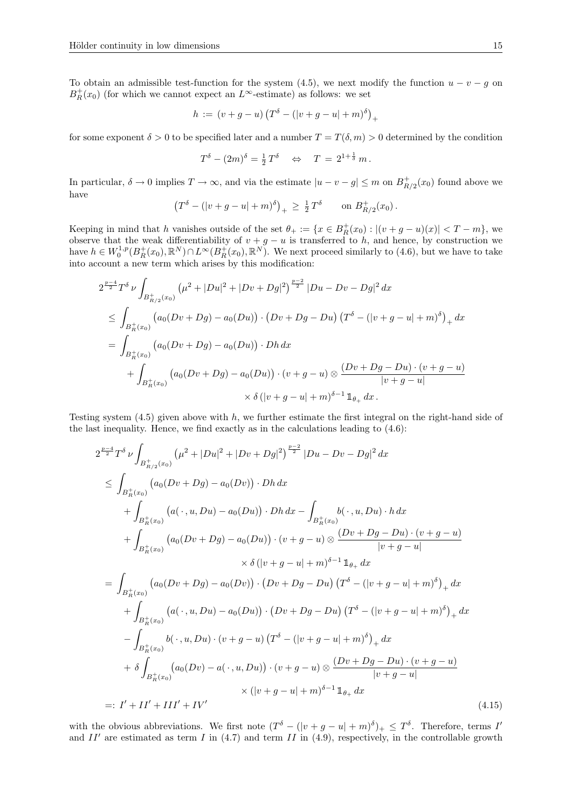To obtain an admissible test-function for the system (4.5), we next modify the function  $u - v - g$  on  $B_R^+(x_0)$  (for which we cannot expect an  $L^{\infty}$ -estimate) as follows: we set

$$
h := (v + g - u) (T^{\delta} - (|v + g - u| + m)^{\delta})_{+}
$$

for some exponent  $\delta > 0$  to be specified later and a number  $T = T(\delta, m) > 0$  determined by the condition

$$
T^{\delta} - (2m)^{\delta} = \frac{1}{2} T^{\delta} \quad \Leftrightarrow \quad T = 2^{1 + \frac{1}{\delta}} m.
$$

In particular,  $\delta \to 0$  implies  $T \to \infty$ , and via the estimate  $|u - v - g| \le m$  on  $B_{R/2}^+(x_0)$  found above we have

$$
(T^{\delta} - (|v + g - u| + m)^{\delta})_{+} \geq \frac{1}{2} T^{\delta} \quad \text{on } B_{R/2}^{+}(x_0) .
$$

Keeping in mind that h vanishes outside of the set  $\theta_+ := \{x \in B_R^+(x_0) : |(v + g - u)(x)| < T - m\}$ , we observe that the weak differentiability of  $v + g - u$  is transferred to h, and hence, by construction we have  $h \in W_0^{1,p}(B_R^+(x_0), \mathbb{R}^N) \cap L^\infty(B_R^+(x_0), \mathbb{R}^N)$ . We next proceed similarly to (4.6), but we have to take into account a new term which arises by this modification:

$$
2^{\frac{p-4}{2}}T^{\delta} \nu \int_{B_{R/2}^+(x_0)} (\mu^2 + |Du|^2 + |Dv + Dg|^2)^{\frac{p-2}{2}} |Du - Dv - Dg|^2 dx
$$
  
\n
$$
\leq \int_{B_R^+(x_0)} (a_0(Dv + Dg) - a_0(Du)) \cdot (Dv + Dg - Du) (T^{\delta} - (|v + g - u| + m)^{\delta})_+ dx
$$
  
\n
$$
= \int_{B_R^+(x_0)} (a_0(Dv + Dg) - a_0(Du)) \cdot Dh dx
$$
  
\n
$$
+ \int_{B_R^+(x_0)} (a_0(Dv + Dg) - a_0(Du)) \cdot (v + g - u) \otimes \frac{(Dv + Dg - Du) \cdot (v + g - u)}{|v + g - u|}
$$
  
\n
$$
\times \delta (|v + g - u| + m)^{\delta - 1} 1_{\theta_+} dx.
$$

Testing system  $(4.5)$  given above with h, we further estimate the first integral on the right-hand side of the last inequality. Hence, we find exactly as in the calculations leading to  $(4.6)$ :

$$
2^{\frac{p-4}{2}}T^{\delta} \nu \int_{B_{R/2}^{+}(x_{0})} (\mu^{2} + |Du|^{2} + |Dv + Dg|^{2})^{\frac{p-2}{2}} |Du - Dv - Dg|^{2} dx
$$
  
\n
$$
\leq \int_{B_{R}^{+}(x_{0})} (a_{0}(Dv + Dg) - a_{0}(Dv)) \cdot Dh dx + \int_{B_{R}^{+}(x_{0})} b(\cdot, u, Du) \cdot h dx + \int_{B_{R}^{+}(x_{0})} (a(\cdot, u, Du) - a_{0}(Du)) \cdot Dh dx - \int_{B_{R}^{+}(x_{0})} b(\cdot, u, Du) \cdot h dx
$$
  
\n
$$
+ \int_{B_{R}^{+}(x_{0})} (a_{0}(Dv + Dg) - a_{0}(Du)) \cdot (v + g - u) \otimes \frac{(Dv + Dg - Du) \cdot (v + g - u)}{|v + g - u|}
$$
  
\n
$$
\times \delta (|v + g - u| + m)^{\delta - 1} \mathbb{1}_{\theta_{+}} dx
$$
  
\n
$$
= \int_{B_{R}^{+}(x_{0})} (a_{0}(Dv + Dg) - a_{0}(Dv)) \cdot (Dv + Dg - Du) (T^{\delta} - (|v + g - u| + m)^{\delta})_{+} dx
$$
  
\n
$$
+ \int_{B_{R}^{+}(x_{0})} (a(\cdot, u, Du) - a_{0}(Du)) \cdot (Dv + Dg - Du) (T^{\delta} - (|v + g - u| + m)^{\delta})_{+} dx
$$
  
\n
$$
- \int_{B_{R}^{+}(x_{0})} b(\cdot, u, Du) \cdot (v + g - u) (T^{\delta} - (|v + g - u| + m)^{\delta})_{+} dx
$$
  
\n
$$
+ \delta \int_{B_{R}^{+}(x_{0})} (a_{0}(Dv) - a(\cdot, u, Du)) \cdot (v + g - u) \otimes \frac{(Dv + Dg - Du) \cdot (v + g - u)}{|v + g - u|}
$$
  
\n
$$
\times (|v + g - u| + m)^{\delta - 1} \mathbb{1}_{\theta_{+}} dx
$$
  
\n=: I' + II' + III' + IV' (4.15)

with the obvious abbreviations. We first note  $(T^{\delta} - (|v + g - u| + m)^{\delta})_+ \leq T^{\delta}$ . Therefore, terms I' and  $II'$  are estimated as term I in (4.7) and term II in (4.9), respectively, in the controllable growth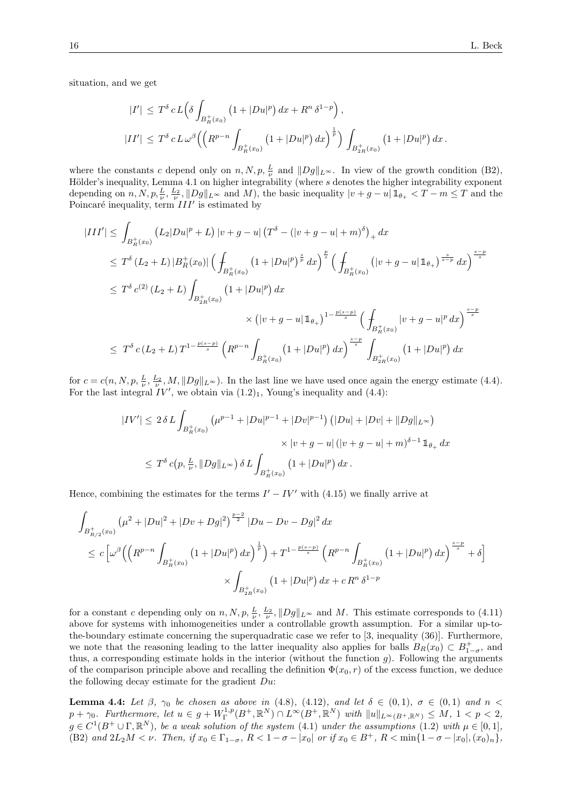situation, and we get

$$
|I'| \leq T^{\delta} c L \Big( \delta \int_{B_R^+(x_0)} \left( 1 + |Du|^p \right) dx + R^n \delta^{1-p} \Big),
$$
  

$$
|II'| \leq T^{\delta} c L \omega^{\beta} \Big( \Big( R^{p-n} \int_{B_R^+(x_0)} \left( 1 + |Du|^p \right) dx \Big)^{\frac{1}{p}} \Big) \int_{B_{2R}^+(x_0)} \left( 1 + |Du|^p \right) dx.
$$

where the constants c depend only on  $n, N, p, \frac{L}{\nu}$  and  $||Dg||_{L^{\infty}}$ . In view of the growth condition (B2), Hölder's inequality, Lemma 4.1 on higher integrability (where s denotes the higher integrability exponent depending on  $n, N, p, \frac{L}{\nu}, \frac{L_2}{\nu}, ||Dg||_{L^{\infty}}$  and M), the basic inequality  $|v + g - u| \mathbb{1}_{\theta_+} < T - m \leq T$  and the Poincaré inequality, term  $III'$  is estimated by

$$
|III'| \leq \int_{B_R^+(x_0)} (L_2|Du|^p + L) |v + g - u| (T^{\delta} - (|v + g - u| + m)^{\delta})_+ dx
$$
  
\n
$$
\leq T^{\delta} (L_2 + L) |B_R^+(x_0)| \left( \int_{B_R^+(x_0)} (1 + |Du|^p)^{\frac{s}{p}} dx \right)^{\frac{p}{s}} \left( \int_{B_R^+(x_0)} (|v + g - u| \mathbb{1}_{\theta_+})^{\frac{s}{s-p}} dx \right)^{\frac{s-p}{s}}
$$
  
\n
$$
\leq T^{\delta} c^{(2)} (L_2 + L) \int_{B_{2R}^+(x_0)} (1 + |Du|^p) dx
$$
  
\n
$$
\times (|v + g - u| \mathbb{1}_{\theta_+})^{1 - \frac{p(s-p)}{s}} \left( \int_{B_R^+(x_0)} |v + g - u|^p dx \right)^{\frac{s-p}{s}}
$$
  
\n
$$
\leq T^{\delta} c (L_2 + L) T^{1 - \frac{p(s-p)}{s}} \left( R^{p-n} \int_{B_R^+(x_0)} (1 + |Du|^p) dx \right)^{\frac{s-p}{s}} \int_{B_{2R}^+(x_0)} (1 + |Du|^p) dx
$$

for  $c = c(n, N, p, \frac{L}{\nu}, \frac{L_2}{\nu}, M, ||Dg||_{L^{\infty}})$ . In the last line we have used once again the energy estimate (4.4). For the last integral  $IV'$ , we obtain via  $(1.2)_1$ , Young's inequality and  $(4.4)$ :

$$
|IV'| \le 2 \delta L \int_{B_R^+(x_0)} \left(\mu^{p-1} + |Du|^{p-1} + |Dv|^{p-1}\right) \left(|Du| + |Dv| + \|Dg\|_{L^\infty}\right)
$$
  

$$
\times |v + g - u| \left(|v + g - u| + m\right)^{\delta - 1} \mathbb{1}_{\theta_+} dx
$$
  

$$
\le T^{\delta} c(p, \frac{L}{\nu}, \|Dg\|_{L^\infty}) \delta L \int_{B_R^+(x_0)} \left(1 + |Du|^p\right) dx.
$$

Hence, combining the estimates for the terms  $I' - IV'$  with (4.15) we finally arrive at

$$
\int_{B_{R/2}^+(x_0)} (\mu^2 + |Du|^2 + |Dv + Dg|^2)^{\frac{p-2}{2}} |Du - Dv - Dg|^2 dx
$$
\n
$$
\leq c \left[ \omega^{\beta} \left( \left( R^{p-n} \int_{B_R^+(x_0)} (1 + |Du|^p) dx \right)^{\frac{1}{p}} \right) + T^{1 - \frac{p(s-p)}{s}} \left( R^{p-n} \int_{B_R^+(x_0)} (1 + |Du|^p) dx \right)^{\frac{s-p}{s}} + \delta \right]
$$
\n
$$
\times \int_{B_{2R}^+(x_0)} (1 + |Du|^p) dx + c R^n \delta^{1-p}
$$

for a constant c depending only on  $n, N, p, \frac{L}{\nu}, \frac{L_2}{\nu}, ||Dg||_{L^\infty}$  and M. This estimate corresponds to (4.11) above for systems with inhomogeneities under a controllable growth assumption. For a similar up-tothe-boundary estimate concerning the superquadratic case we refer to [3, inequality (36)]. Furthermore, we note that the reasoning leading to the latter inequality also applies for balls  $B_R(x_0) \subset B_{1-\sigma}^+$ , and thus, a corresponding estimate holds in the interior (without the function  $g$ ). Following the arguments of the comparison principle above and recalling the definition  $\Phi(x_0, r)$  of the excess function, we deduce the following decay estimate for the gradient Du:

**Lemma 4.4:** Let  $\beta$ ,  $\gamma_0$  be chosen as above in (4.8), (4.12), and let  $\delta \in (0,1)$ ,  $\sigma \in (0,1)$  and  $n <$  $p + \gamma_0$ . Furthermore, let  $u \in g + W^{1,p}_\Gamma(B^+, \mathbb{R}^N) \cap L^\infty(B^+, \mathbb{R}^N)$  with  $||u||_{L^\infty(B^+, \mathbb{R}^N)} \leq M$ ,  $1 < p < 2$ ,  $g \in C^1(B^+ \cup \Gamma, \mathbb{R}^N)$ , be a weak solution of the system (4.1) under the assumptions (1.2) with  $\mu \in [0,1]$ , (B2) and  $2L_2M < \nu$ . Then, if  $x_0 \in \Gamma_{1-\sigma}$ ,  $R < 1 - \sigma - |x_0|$  or if  $x_0 \in B^+$ ,  $R < \min\{1 - \sigma - |x_0|, (x_0)_n\}$ ,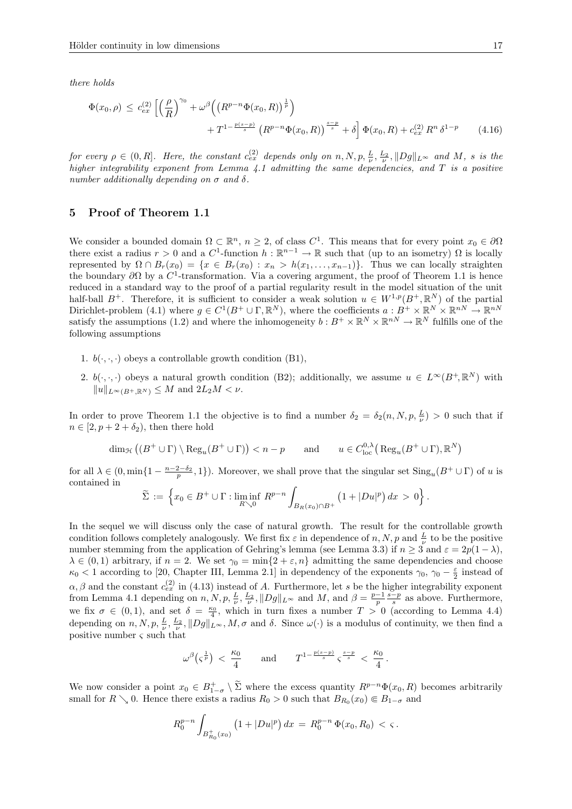there holds

$$
\Phi(x_0, \rho) \le c_{ex}^{(2)} \left[ \left( \frac{\rho}{R} \right)^{\gamma_0} + \omega^{\beta} \left( \left( R^{p-n} \Phi(x_0, R) \right)^{\frac{1}{p}} \right) + T^{1 - \frac{p(s-p)}{s}} \left( R^{p-n} \Phi(x_0, R) \right)^{\frac{s-p}{s}} + \delta \right] \Phi(x_0, R) + c_{ex}^{(2)} R^n \delta^{1-p}
$$
\n(4.16)

for every  $\rho \in (0,R]$ . Here, the constant  $c_{ex}^{(2)}$  depends only on  $n, N, p, \frac{L}{\nu}, \frac{L_2}{\nu}, ||Dg||_{L^{\infty}}$  and M, s is the higher integrability exponent from Lemma 4.1 admitting the same dependencies, and T is a positive number additionally depending on  $\sigma$  and  $\delta$ .

#### 5 Proof of Theorem 1.1

We consider a bounded domain  $\Omega \subset \mathbb{R}^n$ ,  $n \geq 2$ , of class  $C^1$ . This means that for every point  $x_0 \in \partial \Omega$ there exist a radius  $r > 0$  and a  $C^1$ -function  $h : \mathbb{R}^{n-1} \to \mathbb{R}$  such that (up to an isometry)  $\Omega$  is locally represented by  $\Omega \cap B_r(x_0) = \{x \in B_r(x_0) : x_n > h(x_1, \ldots, x_{n-1})\}.$  Thus we can locally straighten the boundary  $\partial\Omega$  by a  $C^1$ -transformation. Via a covering argument, the proof of Theorem 1.1 is hence reduced in a standard way to the proof of a partial regularity result in the model situation of the unit half-ball  $B^+$ . Therefore, it is sufficient to consider a weak solution  $u \in W^{1,p}(B^+, \mathbb{R}^N)$  of the partial Dirichlet-problem (4.1) where  $g \in C^1(B^+ \cup \Gamma, \mathbb{R}^N)$ , where the coefficients  $a : B^+ \times \mathbb{R}^N \times \mathbb{R}^{nN} \to \mathbb{R}^{nN}$ satisfy the assumptions (1.2) and where the inhomogeneity  $b: B^+ \times \mathbb{R}^N \times \mathbb{R}^{nN} \to \mathbb{R}^N$  fulfills one of the following assumptions

- 1.  $b(\cdot, \cdot, \cdot)$  obeys a controllable growth condition (B1),
- 2.  $b(\cdot,\cdot,\cdot)$  obeys a natural growth condition (B2); additionally, we assume  $u \in L^{\infty}(B^+,\mathbb{R}^N)$  with  $||u||_{L^{\infty}(B^+\mathbb{R}^N)} \leq M$  and  $2L_2M < \nu$ .

In order to prove Theorem 1.1 the objective is to find a number  $\delta_2 = \delta_2(n, N, p, \frac{L}{\nu}) > 0$  such that if  $n \in [2, p+2+\delta_2)$ , then there hold

$$
\dim_{\mathcal{H}}\left( (B^+ \cup \Gamma) \setminus \text{Reg}_u(B^+ \cup \Gamma) \right) < n - p \qquad \text{and} \qquad u \in C_{\text{loc}}^{0,\lambda} \left( \text{Reg}_u(B^+ \cup \Gamma), \mathbb{R}^N \right)
$$

for all  $\lambda \in (0, \min\{1 - \frac{n-2-\delta_2}{p}, 1\})$ . Moreover, we shall prove that the singular set  $\text{Sing}_u(B^+ \cup \Gamma)$  of u is contained in

$$
\widetilde{\Sigma} := \left\{ x_0 \in B^+ \cup \Gamma : \liminf_{R \searrow 0} R^{p-n} \int_{B_R(x_0) \cap B^+} \left( 1 + |Du|^p \right) dx > 0 \right\}.
$$

In the sequel we will discuss only the case of natural growth. The result for the controllable growth condition follows completely analogously. We first fix  $\varepsilon$  in dependence of n, N, p and  $\frac{L}{\nu}$  to be the positive number stemming from the application of Gehring's lemma (see Lemma 3.3) if  $n \geq 3$  and  $\varepsilon = 2p(1-\lambda)$ ,  $\lambda \in (0,1)$  arbitrary, if  $n=2$ . We set  $\gamma_0 = \min\{2 + \varepsilon, n\}$  admitting the same dependencies and choose  $\kappa_0$  < 1 according to [20, Chapter III, Lemma 2.1] in dependency of the exponents  $\gamma_0$ ,  $\gamma_0 - \frac{\varepsilon}{2}$  instead of  $\alpha, \beta$  and the constant  $c_{ex}^{(2)}$  in (4.13) instead of A. Furthermore, let s be the higher integrability exponent from Lemma 4.1 depending on  $n, N, p, \frac{L}{\nu}, \frac{L_2}{\nu}, ||Dg||_{L^{\infty}}$  and  $M$ , and  $\beta = \frac{p-1}{p} \frac{s-p}{s}$  as above. Furthermore, we fix  $\sigma \in (0,1)$ , and set  $\delta = \frac{\kappa_0}{4}$ , which in turn fixes a number  $T > 0$  (according to Lemma 4.4) depending on  $n, N, p, \frac{L}{\nu}, \frac{L_2}{\nu}, ||Dg||_{L^{\infty}}, M, \sigma$  and  $\delta$ . Since  $\omega(\cdot)$  is a modulus of continuity, we then find a positive number  $\varsigma$  such that

$$
\omega^{\beta} \left( \zeta^{\frac{1}{p}} \right) \, < \, \frac{\kappa_0}{4} \qquad \text{and} \qquad T^{1 - \frac{p(s-p)}{s}} \, \zeta^{\frac{s-p}{s}} \, < \, \frac{\kappa_0}{4} \, .
$$

We now consider a point  $x_0 \in B_{1-\sigma}^+ \setminus \tilde{\Sigma}$  where the excess quantity  $R^{p-n}\Phi(x_0, R)$  becomes arbitrarily small for  $R \searrow 0$ . Hence there exists a radius  $R_0 > 0$  such that  $B_{R_0}(x_0) \in B_{1-\sigma}$  and

$$
R_0^{p-n} \int_{B_{R_0}^+(x_0)} \left(1 + |Du|^p\right) dx = R_0^{p-n} \Phi(x_0, R_0) < \varsigma.
$$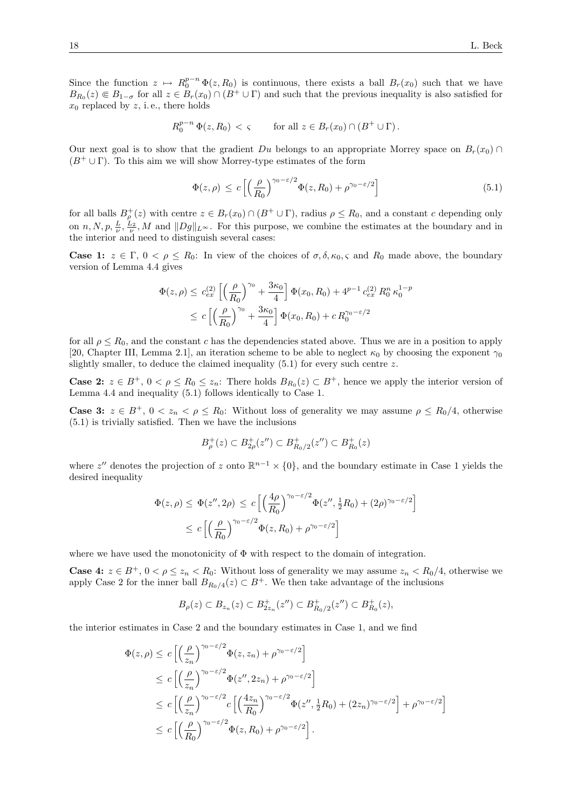Since the function  $z \mapsto R_0^{p-n} \Phi(z, R_0)$  is continuous, there exists a ball  $B_r(x_0)$  such that we have  $B_{R_0}(z) \in B_{1-\sigma}$  for all  $z \in B_r(x_0) \cap (B^+ \cup \Gamma)$  and such that the previous inequality is also satisfied for  $x_0$  replaced by z, i.e., there holds

$$
R_0^{p-n} \Phi(z, R_0) < \varsigma \qquad \text{for all } z \in B_r(x_0) \cap (B^+ \cup \Gamma).
$$

Our next goal is to show that the gradient Du belongs to an appropriate Morrey space on  $B_r(x_0) \cap$  $(B^+ \cup \Gamma)$ . To this aim we will show Morrey-type estimates of the form

$$
\Phi(z,\rho) \le c \left[ \left( \frac{\rho}{R_0} \right)^{\gamma_0 - \varepsilon/2} \Phi(z,R_0) + \rho^{\gamma_0 - \varepsilon/2} \right] \tag{5.1}
$$

for all balls  $B_{\rho}^+(z)$  with centre  $z \in B_r(x_0) \cap (B^+ \cup \Gamma)$ , radius  $\rho \le R_0$ , and a constant c depending only on  $n, N, p, \frac{L}{\nu}, \frac{L_2}{\nu}, M$  and  $||Dg||_{L^{\infty}}$ . For this purpose, we combine the estimates at the boundary and in the interior and need to distinguish several cases:

**Case 1:**  $z \in \Gamma$ ,  $0 < \rho \leq R_0$ : In view of the choices of  $\sigma$ ,  $\delta$ ,  $\kappa$ <sub>0</sub>,  $\varsigma$  and  $R_0$  made above, the boundary version of Lemma 4.4 gives

$$
\Phi(z,\rho) \leq c_{ex}^{(2)} \left[ \left( \frac{\rho}{R_0} \right)^{\gamma_0} + \frac{3\kappa_0}{4} \right] \Phi(x_0, R_0) + 4^{p-1} c_{ex}^{(2)} R_0^n \kappa_0^{1-p}
$$
  

$$
\leq c \left[ \left( \frac{\rho}{R_0} \right)^{\gamma_0} + \frac{3\kappa_0}{4} \right] \Phi(x_0, R_0) + c R_0^{\gamma_0 - \varepsilon/2}
$$

for all  $\rho \le R_0$ , and the constant c has the dependencies stated above. Thus we are in a position to apply [20, Chapter III, Lemma 2.1], an iteration scheme to be able to neglect  $\kappa_0$  by choosing the exponent  $\gamma_0$ slightly smaller, to deduce the claimed inequality  $(5.1)$  for every such centre z.

**Case 2:**  $z \in B^+$ ,  $0 < \rho \le R_0 \le z_n$ : There holds  $B_{R_0}(z) \subset B^+$ , hence we apply the interior version of Lemma 4.4 and inequality (5.1) follows identically to Case 1.

**Case 3:**  $z \in B^+$ ,  $0 < z_n < \rho \le R_0$ : Without loss of generality we may assume  $\rho \le R_0/4$ , otherwise (5.1) is trivially satisfied. Then we have the inclusions

$$
B_{\rho}^{+}(z) \subset B_{2\rho}^{+}(z'') \subset B_{R_{0}/2}^{+}(z'') \subset B_{R_{0}}^{+}(z)
$$

where  $z''$  denotes the projection of z onto  $\mathbb{R}^{n-1} \times \{0\}$ , and the boundary estimate in Case 1 yields the desired inequality

$$
\Phi(z,\rho) \leq \Phi(z'',2\rho) \leq c \left[ \left( \frac{4\rho}{R_0} \right)^{\gamma_0 - \varepsilon/2} \Phi(z'',\frac{1}{2}R_0) + (2\rho)^{\gamma_0 - \varepsilon/2} \right]
$$
  

$$
\leq c \left[ \left( \frac{\rho}{R_0} \right)^{\gamma_0 - \varepsilon/2} \Phi(z,R_0) + \rho^{\gamma_0 - \varepsilon/2} \right]
$$

where we have used the monotonicity of  $\Phi$  with respect to the domain of integration.

**Case 4:**  $z \in B^+$ ,  $0 < \rho \le z_n < R_0$ : Without loss of generality we may assume  $z_n < R_0/4$ , otherwise we apply Case 2 for the inner ball  $B_{R_0/4}(z) \subset B^+$ . We then take advantage of the inclusions

$$
B_{\rho}(z) \subset B_{z_n}(z) \subset B_{2z_n}^+(z'') \subset B_{R_0/2}^+(z'') \subset B_{R_0}^+(z),
$$

the interior estimates in Case 2 and the boundary estimates in Case 1, and we find

$$
\Phi(z,\rho) \leq c \left[ \left( \frac{\rho}{z_n} \right)^{\gamma_0 - \varepsilon/2} \Phi(z, z_n) + \rho^{\gamma_0 - \varepsilon/2} \right]
$$
\n
$$
\leq c \left[ \left( \frac{\rho}{z_n} \right)^{\gamma_0 - \varepsilon/2} \Phi(z'', 2z_n) + \rho^{\gamma_0 - \varepsilon/2} \right]
$$
\n
$$
\leq c \left[ \left( \frac{\rho}{z_n} \right)^{\gamma_0 - \varepsilon/2} c \left[ \left( \frac{4z_n}{R_0} \right)^{\gamma_0 - \varepsilon/2} \Phi(z'', \frac{1}{2}R_0) + (2z_n)^{\gamma_0 - \varepsilon/2} \right] + \rho^{\gamma_0 - \varepsilon/2} \right]
$$
\n
$$
\leq c \left[ \left( \frac{\rho}{R_0} \right)^{\gamma_0 - \varepsilon/2} \Phi(z, R_0) + \rho^{\gamma_0 - \varepsilon/2} \right].
$$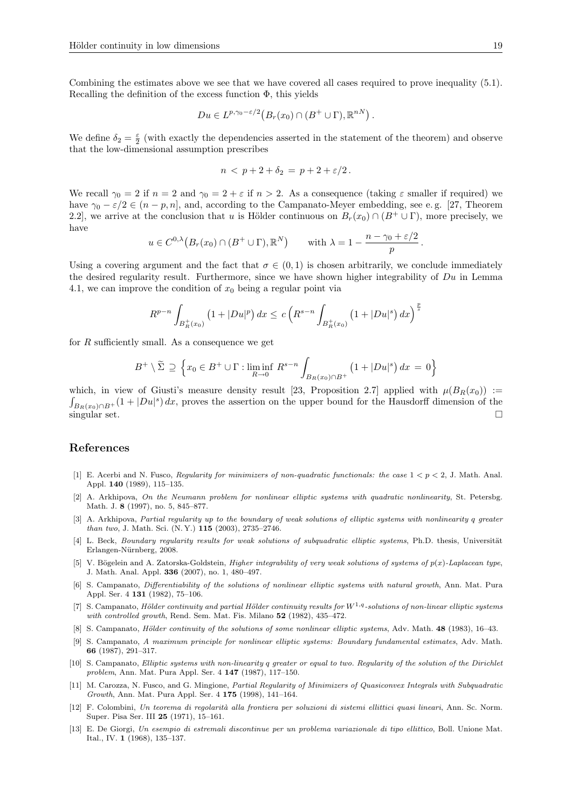Combining the estimates above we see that we have covered all cases required to prove inequality (5.1). Recalling the definition of the excess function  $\Phi$ , this yields

$$
Du \in L^{p,\gamma_0-\varepsilon/2}\big(B_r(x_0)\cap (B^+\cup\Gamma),\mathbb{R}^{nN}\big)\,.
$$

We define  $\delta_2 = \frac{\varepsilon}{2}$  (with exactly the dependencies asserted in the statement of the theorem) and observe that the low-dimensional assumption prescribes

$$
n < p+2+\delta_2 = p+2+\varepsilon/2.
$$

We recall  $\gamma_0 = 2$  if  $n = 2$  and  $\gamma_0 = 2 + \varepsilon$  if  $n > 2$ . As a consequence (taking  $\varepsilon$  smaller if required) we have  $\gamma_0 - \varepsilon/2 \in (n - p, n]$ , and, according to the Campanato-Meyer embedding, see e.g. [27, Theorem 2.2], we arrive at the conclusion that u is Hölder continuous on  $B_r(x_0) \cap (B^+ \cup \Gamma)$ , more precisely, we have

$$
u \in C^{0,\lambda}(B_r(x_0) \cap (B^+ \cup \Gamma), \mathbb{R}^N)
$$
 with  $\lambda = 1 - \frac{n - \gamma_0 + \varepsilon/2}{p}$ 

Using a covering argument and the fact that  $\sigma \in (0,1)$  is chosen arbitrarily, we conclude immediately the desired regularity result. Furthermore, since we have shown higher integrability of Du in Lemma 4.1, we can improve the condition of  $x_0$  being a regular point via

$$
R^{p-n} \int_{B_R^+(x_0)} \left(1 + |Du|^p\right) dx \le c \left(R^{s-n} \int_{B_R^+(x_0)} \left(1 + |Du|^s\right) dx\right)^{\frac{p}{s}}
$$

for  $R$  sufficiently small. As a consequence we get

$$
B^+ \setminus \widetilde{\Sigma} \supseteq \left\{ x_0 \in B^+ \cup \Gamma : \liminf_{R \to 0} R^{s-n} \int_{B_R(x_0) \cap B^+} \left( 1 + |Du|^s \right) dx = 0 \right\}
$$

which, in view of Giusti's measure density result [23, Proposition 2.7] applied with  $\mu(B_R(x_0)) :=$  $\int_{B_R(x_0)\cap B^+}(1+|Du|^s)\,dx$ , proves the assertion on the upper bound for the Hausdorff dimension of the  $\Box$ singular set.

#### References

- [1] E. Acerbi and N. Fusco, Regularity for minimizers of non-quadratic functionals: the case  $1 < p < 2$ , J. Math. Anal. Appl. 140 (1989), 115–135.
- [2] A. Arkhipova, On the Neumann problem for nonlinear elliptic systems with quadratic nonlinearity, St. Petersbg. Math. J. 8 (1997), no. 5, 845–877.
- [3] A. Arkhipova, Partial regularity up to the boundary of weak solutions of elliptic systems with nonlinearity q greater than two, J. Math. Sci. (N. Y.) 115 (2003), 2735–2746.
- [4] L. Beck, Boundary regularity results for weak solutions of subquadratic elliptic systems, Ph.D. thesis, Universität Erlangen-Nürnberg, 2008.
- [5] V. Bögelein and A. Zatorska-Goldstein, *Higher integrability of very weak solutions of systems of p(x)-Laplacean type*, J. Math. Anal. Appl. 336 (2007), no. 1, 480–497.
- [6] S. Campanato, Differentiability of the solutions of nonlinear elliptic systems with natural growth, Ann. Mat. Pura Appl. Ser. 4 131 (1982), 75–106.
- [7] S. Campanato, Hölder continuity and partial Hölder continuity results for  $W^{1,q}$ -solutions of non-linear elliptic systems with controlled growth, Rend. Sem. Mat. Fis. Milano 52 (1982), 435-472.
- [8] S. Campanato, *Hölder continuity of the solutions of some nonlinear elliptic systems*, Adv. Math. 48 (1983), 16–43.
- [9] S. Campanato, A maximum principle for nonlinear elliptic systems: Boundary fundamental estimates, Adv. Math. 66 (1987), 291–317.
- [10] S. Campanato, Elliptic systems with non-linearity q greater or equal to two. Regularity of the solution of the Dirichlet problem, Ann. Mat. Pura Appl. Ser. 4 147 (1987), 117–150.
- [11] M. Carozza, N. Fusco, and G. Mingione, Partial Regularity of Minimizers of Quasiconvex Integrals with Subquadratic Growth, Ann. Mat. Pura Appl. Ser. 4 175 (1998), 141–164.
- [12] F. Colombini, Un teorema di regolarità alla frontiera per soluzioni di sistemi ellittici quasi lineari, Ann. Sc. Norm. Super. Pisa Ser. III 25 (1971), 15–161.
- [13] E. De Giorgi, Un esempio di estremali discontinue per un problema variazionale di tipo ellittico, Boll. Unione Mat. Ital., IV. 1 (1968), 135–137.

.